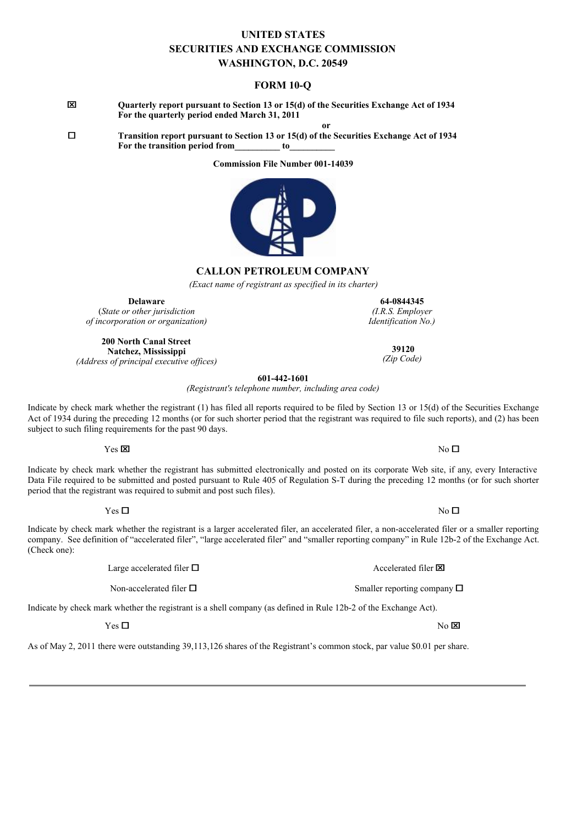# **UNITED STATES SECURITIES AND EXCHANGE COMMISSION WASHINGTON, D.C. 20549**

# **FORM 10-Q**

**or**

- x **Quarterly report pursuant to Section 13 or 15(d) of the Securities Exchange Act of 1934 For the quarterly period ended March 31, 2011**
- ¨ **Transition report pursuant to Section 13 or 15(d) of the Securities Exchange Act of 1934 For the transition period from\_\_\_\_\_\_\_\_\_\_ to\_\_\_\_\_\_\_\_\_\_**

**Commission File Number 001-14039**



# **CALLON PETROLEUM COMPANY**

*(Exact name of registrant as specified in its charter)*

**Delaware**

(*State or other jurisdiction of incorporation or organization)*

**200 North Canal Street Natchez, Mississippi** *(Address of principal executive of ices)*

**601-442-1601**

*(Registrant's telephone number, including area code)*

Indicate by check mark whether the registrant (1) has filed all reports required to be filed by Section 13 or 15(d) of the Securities Exchange Act of 1934 during the preceding 12 months (or for such shorter period that the registrant was required to file such reports), and (2) has been subject to such filing requirements for the past 90 days.

Indicate by check mark whether the registrant has submitted electronically and posted on its corporate Web site, if any, every Interactive Data File required to be submitted and posted pursuant to Rule 405 of Regulation S-T during the preceding 12 months (or for such shorter period that the registrant was required to submit and post such files).

Indicate by check mark whether the registrant is a larger accelerated filer, an accelerated filer, a non-accelerated filer or a smaller reporting company. See definition of "accelerated filer", "large accelerated filer" and "smaller reporting company" in Rule 12b-2 of the Exchange Act. (Check one):

Large accelerated filer  $\Box$  Accelerated filer  $\boxtimes$ 

Indicate by check mark whether the registrant is a shell company (as defined in Rule 12b-2 of the Exchange Act).

 $\Gamma$  No  $\boxtimes$ 

As of May 2, 2011 there were outstanding 39,113,126 shares of the Registrant's common stock, par value \$0.01 per share.

**64-0844345** *(I.R.S. Employer Identification No.)*

> **39120** *(Zip Code)*

Yes  $\boxtimes$ 

 $\Gamma$  No  $\square$  No  $\square$ 

Non-accelerated filer  $\Box$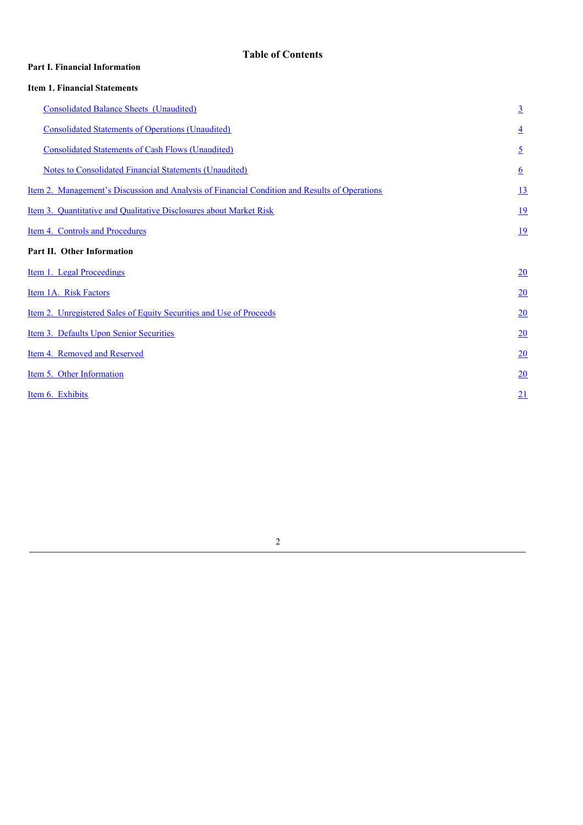# **Part I. Financial Information**

| <b>Item 1. Financial Statements</b>                                                                  |                  |
|------------------------------------------------------------------------------------------------------|------------------|
| <b>Consolidated Balance Sheets (Unaudited)</b>                                                       | $\overline{3}$   |
| <b>Consolidated Statements of Operations (Unaudited)</b>                                             | $\overline{4}$   |
| <b>Consolidated Statements of Cash Flows (Unaudited)</b>                                             | $\overline{2}$   |
| <b>Notes to Consolidated Financial Statements (Unaudited)</b>                                        | $6\overline{6}$  |
| <u>Item 2. Management's Discussion and Analysis of Financial Condition and Results of Operations</u> | <u>13</u>        |
| <u>Item 3. Quantitative and Qualitative Disclosures about Market Risk</u>                            | <u>19</u>        |
| Item 4. Controls and Procedures                                                                      | <u>19</u>        |
| Part II. Other Information                                                                           |                  |
| <u>Item 1. Legal Proceedings</u>                                                                     | 20               |
| Item 1A. Risk Factors                                                                                | 20               |
| <u>Item 2. Unregistered Sales of Equity Securities and Use of Proceeds</u>                           | 20               |
| Item 3. Defaults Upon Senior Securities                                                              | $\underline{20}$ |
| Item 4. Removed and Reserved                                                                         | 20               |
| Item 5. Other Information                                                                            | 20               |
| Item 6. Exhibits                                                                                     | 21               |
|                                                                                                      |                  |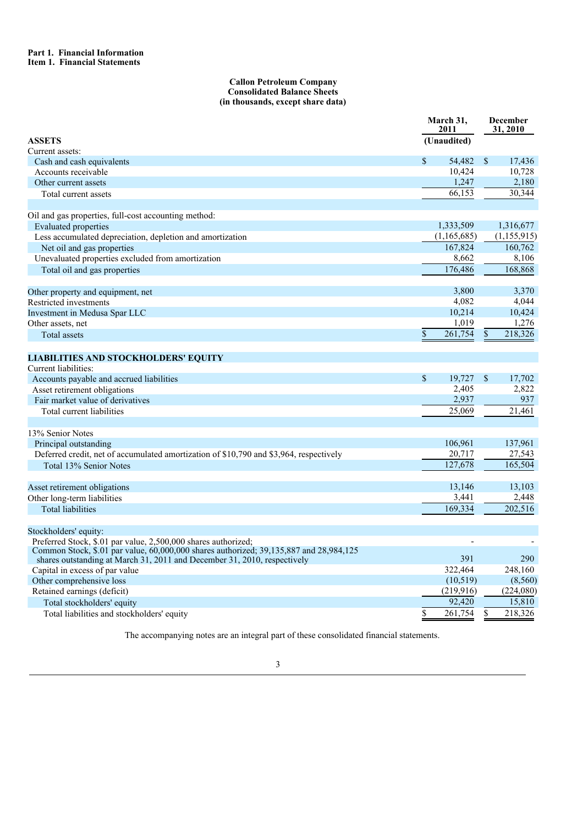### **Callon Petroleum Company Consolidated Balance Sheets (in thousands, except share data)**

|                                                                                                                                                                    |              | March 31,<br>2011 |              |             |
|--------------------------------------------------------------------------------------------------------------------------------------------------------------------|--------------|-------------------|--------------|-------------|
| <b>ASSETS</b>                                                                                                                                                      |              | (Unaudited)       |              |             |
| Current assets:                                                                                                                                                    |              |                   |              |             |
| Cash and cash equivalents                                                                                                                                          | \$           | 54,482            | $\mathbb{S}$ | 17,436      |
| Accounts receivable                                                                                                                                                |              | 10,424            |              | 10,728      |
| Other current assets                                                                                                                                               |              | 1.247             |              | 2,180       |
| Total current assets                                                                                                                                               |              | 66,153            |              | 30,344      |
|                                                                                                                                                                    |              |                   |              |             |
| Oil and gas properties, full-cost accounting method:                                                                                                               |              |                   |              |             |
| <b>Evaluated properties</b>                                                                                                                                        |              | 1,333,509         |              | 1,316,677   |
| Less accumulated depreciation, depletion and amortization                                                                                                          |              | (1,165,685)       |              | (1,155,915) |
| Net oil and gas properties                                                                                                                                         |              | 167,824           |              | 160,762     |
| Unevaluated properties excluded from amortization                                                                                                                  |              | 8,662             |              | 8,106       |
| Total oil and gas properties                                                                                                                                       |              | 176,486           |              | 168,868     |
| Other property and equipment, net                                                                                                                                  |              | 3.800             |              | 3,370       |
| Restricted investments                                                                                                                                             |              | 4,082             |              | 4,044       |
| Investment in Medusa Spar LLC                                                                                                                                      |              | 10,214            |              | 10,424      |
| Other assets, net                                                                                                                                                  |              | 1,019             |              | 1,276       |
| Total assets                                                                                                                                                       | \$           | 261,754           | S            | 218,326     |
| <b>LIABILITIES AND STOCKHOLDERS' EQUITY</b>                                                                                                                        |              |                   |              |             |
| Current liabilities:                                                                                                                                               |              |                   |              |             |
| Accounts payable and accrued liabilities                                                                                                                           | $\mathbb{S}$ | 19,727            | \$           | 17,702      |
| Asset retirement obligations                                                                                                                                       |              | 2,405             |              | 2.822       |
| Fair market value of derivatives                                                                                                                                   |              | 2,937             |              | 937         |
| Total current liabilities                                                                                                                                          |              | 25,069            |              | 21,461      |
|                                                                                                                                                                    |              |                   |              |             |
| 13% Senior Notes                                                                                                                                                   |              |                   |              |             |
| Principal outstanding                                                                                                                                              |              | 106,961           |              | 137,961     |
| Deferred credit, net of accumulated amortization of \$10,790 and \$3,964, respectively                                                                             |              | 20,717            |              | 27,543      |
| Total 13% Senior Notes                                                                                                                                             |              | 127,678           |              | 165,504     |
|                                                                                                                                                                    |              |                   |              |             |
| Asset retirement obligations                                                                                                                                       |              | 13,146            |              | 13,103      |
| Other long-term liabilities                                                                                                                                        |              | 3,441             |              | 2,448       |
| <b>Total liabilities</b>                                                                                                                                           |              | 169,334           |              | 202,516     |
|                                                                                                                                                                    |              |                   |              |             |
| Stockholders' equity:                                                                                                                                              |              |                   |              |             |
| Preferred Stock, \$.01 par value, 2,500,000 shares authorized;                                                                                                     |              |                   |              |             |
| Common Stock, \$.01 par value, 60,000,000 shares authorized; 39,135,887 and 28,984,125<br>shares outstanding at March 31, 2011 and December 31, 2010, respectively |              | 391               |              | 290         |
| Capital in excess of par value                                                                                                                                     |              | 322,464           |              | 248,160     |
| Other comprehensive loss                                                                                                                                           |              | (10, 519)         |              | (8,560)     |
| Retained earnings (deficit)                                                                                                                                        |              | (219,916)         |              | (224,080)   |
| Total stockholders' equity                                                                                                                                         |              | 92,420            |              | 15,810      |
| Total liabilities and stockholders' equity                                                                                                                         | \$           | 261,754           | \$           | 218,326     |
|                                                                                                                                                                    |              |                   |              |             |

The accompanying notes are an integral part of these consolidated financial statements.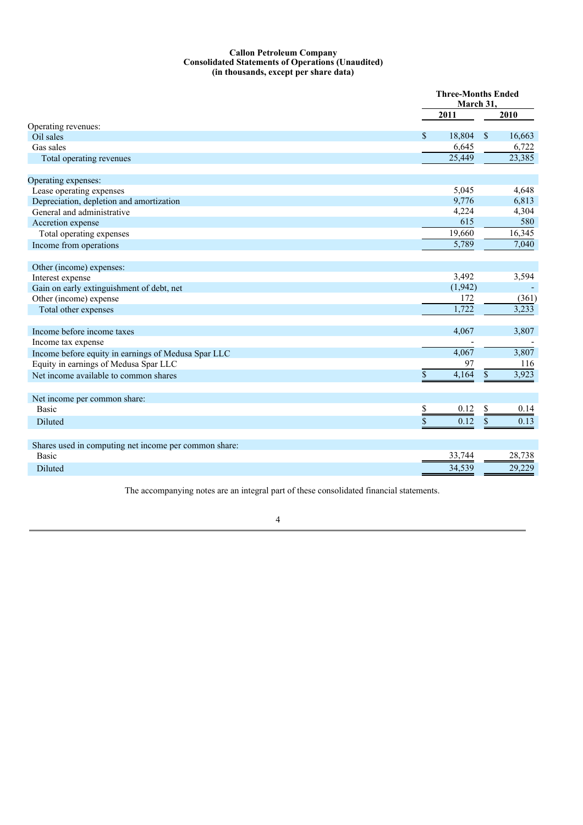### **Callon Petroleum Company Consolidated Statements of Operations (Unaudited) (in thousands, except per share data)**

|                                                       |                        | <b>Three-Months Ended</b><br>March 31, |
|-------------------------------------------------------|------------------------|----------------------------------------|
|                                                       | 2011                   | 2010                                   |
| Operating revenues:                                   |                        |                                        |
| Oil sales                                             | $\mathbf{s}$<br>18,804 | $\mathbb{S}$<br>16,663                 |
| Gas sales                                             | 6,645                  | 6,722                                  |
| Total operating revenues                              | 25,449                 | 23,385                                 |
| Operating expenses:                                   |                        |                                        |
| Lease operating expenses                              | 5,045                  | 4,648                                  |
| Depreciation, depletion and amortization              | 9,776                  | 6,813                                  |
| General and administrative                            | 4,224                  | 4,304                                  |
| Accretion expense                                     | 615                    | 580                                    |
| Total operating expenses                              | 19,660                 | 16,345                                 |
| Income from operations                                | 5,789                  | 7,040                                  |
| Other (income) expenses:                              |                        |                                        |
| Interest expense                                      | 3,492                  | 3,594                                  |
| Gain on early extinguishment of debt, net             | (1, 942)               |                                        |
| Other (income) expense                                | 172                    | (361)                                  |
| Total other expenses                                  | 1,722                  | 3,233                                  |
| Income before income taxes                            | 4,067                  | 3,807                                  |
| Income tax expense                                    |                        |                                        |
| Income before equity in earnings of Medusa Spar LLC   | 4,067                  | 3,807                                  |
| Equity in earnings of Medusa Spar LLC                 | 97                     | 116                                    |
| Net income available to common shares                 | \$<br>4,164            | $\$$<br>3,923                          |
| Net income per common share:                          |                        |                                        |
| <b>Basic</b>                                          | \$<br>0.12             | \$<br>0.14                             |
| Diluted                                               | \$<br>0.12             | \$<br>0.13                             |
| Shares used in computing net income per common share: |                        |                                        |
| <b>Basic</b>                                          | 33,744                 | 28,738                                 |
| Diluted                                               | 34,539                 | 29,229                                 |

The accompanying notes are an integral part of these consolidated financial statements.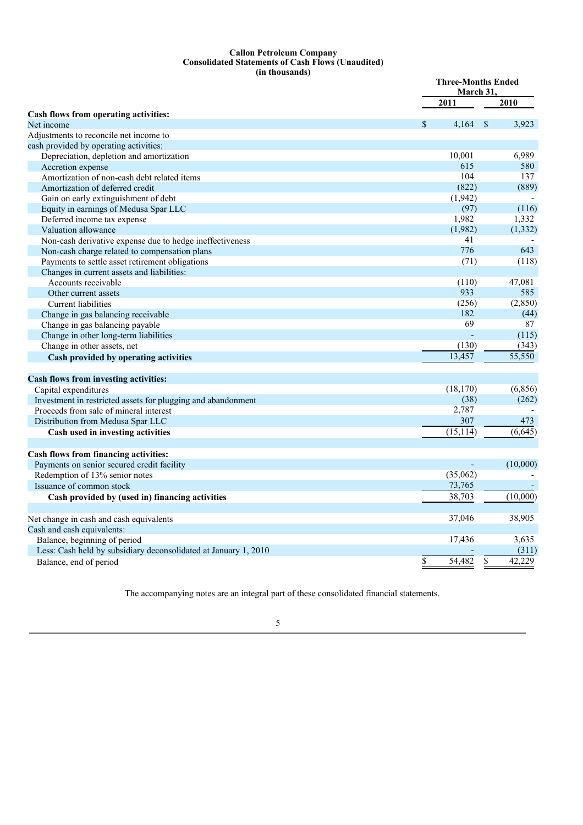#### **Callon Petroleum Company Consolidated Statements of Cash Flows (Unaudited) (in thousands)**

|                                                                 | <b>Three-Months Ended</b><br>March 31, |                |
|-----------------------------------------------------------------|----------------------------------------|----------------|
|                                                                 | 2011                                   | 2010           |
| Cash flows from operating activities:                           | \$<br>4,164<br><sup>\$</sup>           | 3,923          |
| Net income<br>Adjustments to reconcile net income to            |                                        |                |
| cash provided by operating activities:                          |                                        |                |
| Depreciation, depletion and amortization                        | 10,001                                 | 6,989          |
| Accretion expense                                               | 615                                    | 580            |
| Amortization of non-cash debt related items                     | 104                                    | 137            |
| Amortization of deferred credit                                 | (822)                                  | (889)          |
| Gain on early extinguishment of debt                            | (1,942)                                |                |
| Equity in earnings of Medusa Spar LLC                           | (97)                                   | (116)          |
| Deferred income tax expense                                     | 1,982                                  | 1,332          |
| Valuation allowance                                             | (1,982)                                | (1, 332)       |
| Non-cash derivative expense due to hedge ineffectiveness        | 41                                     |                |
| Non-cash charge related to compensation plans                   | 776                                    | 643            |
| Payments to settle asset retirement obligations                 | (71)                                   | (118)          |
| Changes in current assets and liabilities:                      |                                        |                |
| Accounts receivable                                             | (110)                                  | 47,081         |
| Other current assets                                            | 933                                    | 585            |
| Current liabilities                                             | (256)                                  | (2,850)        |
| Change in gas balancing receivable                              | 182                                    | (44)           |
| Change in gas balancing payable                                 | 69                                     | 87             |
| Change in other long-term liabilities                           |                                        | (115)          |
| Change in other assets, net                                     | (130)                                  | (343)          |
| Cash provided by operating activities                           | 13,457                                 | 55,550         |
| Cash flows from investing activities:                           |                                        |                |
| Capital expenditures                                            | (18, 170)                              | (6,856)        |
| Investment in restricted assets for plugging and abandonment    | (38)                                   | (262)          |
| Proceeds from sale of mineral interest                          | 2,787                                  |                |
| Distribution from Medusa Spar LLC                               | 307                                    | 473            |
| Cash used in investing activities                               | (15, 114)                              | (6,645)        |
| Cash flows from financing activities:                           |                                        |                |
| Payments on senior secured credit facility                      |                                        | (10,000)       |
| Redemption of 13% senior notes                                  | (35,062)                               |                |
| Issuance of common stock                                        | 73,765                                 |                |
| Cash provided by (used in) financing activities                 | 38,703                                 | (10,000)       |
|                                                                 |                                        |                |
| Net change in cash and cash equivalents                         | 37,046                                 | 38,905         |
| Cash and cash equivalents:                                      | 17,436                                 |                |
| Balance, beginning of period                                    |                                        | 3,635<br>(311) |
| Less: Cash held by subsidiary deconsolidated at January 1, 2010 | \$<br>54,482<br>\$                     | 42,229         |
| Balance, end of period                                          |                                        |                |

The accompanying notes are an integral part of these consolidated financial statements.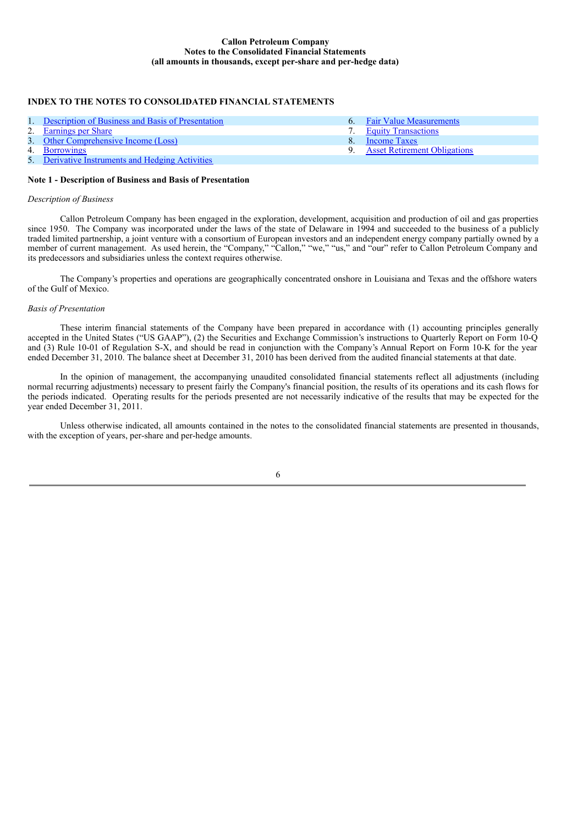### **INDEX TO THE NOTES TO CONSOLIDATED FINANCIAL STATEMENTS**

| 1. Description of Business and Basis of Presentation | 6. Fair Value Measurements      |
|------------------------------------------------------|---------------------------------|
| 2. Earnings per Share                                | 7. Equity Transactions          |
| 3. Other Comprehensive Income (Loss)                 | 8. Income Taxes                 |
| 4. Borrowings                                        | 9. Asset Retirement Obligations |
| 5. Derivative Instruments and Hedging Activities     |                                 |

#### **Note 1 - Description of Business and Basis of Presentation**

#### *Description of Business*

Callon Petroleum Company has been engaged in the exploration, development, acquisition and production of oil and gas properties since 1950. The Company was incorporated under the laws of the state of Delaware in 1994 and succeeded to the business of a publicly traded limited partnership, a joint venture with a consortium of European investors and an independent energy company partially owned by a member of current management. As used herein, the "Company," "Callon," "we," "us," and "our" refer to Callon Petroleum Company and its predecessors and subsidiaries unless the context requires otherwise.

The Company's properties and operations are geographically concentrated onshore in Louisiana and Texas and the offshore waters of the Gulf of Mexico.

### *Basis of Presentation*

These interim financial statements of the Company have been prepared in accordance with (1) accounting principles generally accepted in the United States ("US GAAP"), (2) the Securities and Exchange Commission's instructions to Quarterly Report on Form 10-Q and (3) Rule 10-01 of Regulation S-X, and should be read in conjunction with the Company's Annual Report on Form 10-K for the year ended December 31, 2010. The balance sheet at December 31, 2010 has been derived from the audited financial statements at that date.

In the opinion of management, the accompanying unaudited consolidated financial statements reflect all adjustments (including normal recurring adjustments) necessary to present fairly the Company's financial position, the results of its operations and its cash flows for the periods indicated. Operating results for the periods presented are not necessarily indicative of the results that may be expected for the year ended December 31, 2011.

Unless otherwise indicated, all amounts contained in the notes to the consolidated financial statements are presented in thousands, with the exception of years, per-share and per-hedge amounts.

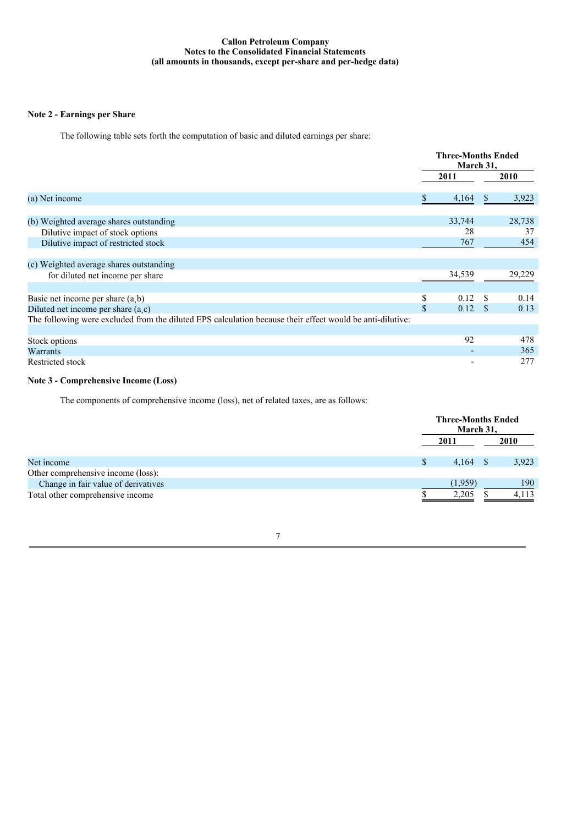# **Note 2 - Earnings per Share**

The following table sets forth the computation of basic and diluted earnings per share:

|                                                                                                           | <b>Three-Months Ended</b><br>March 31, |        |      |        |
|-----------------------------------------------------------------------------------------------------------|----------------------------------------|--------|------|--------|
|                                                                                                           |                                        | 2011   |      | 2010   |
| (a) Net income                                                                                            |                                        | 4,164  | Ъ.   | 3,923  |
| (b) Weighted average shares outstanding                                                                   |                                        | 33,744 |      | 28,738 |
| Dilutive impact of stock options                                                                          |                                        | 28     |      | 37     |
| Dilutive impact of restricted stock                                                                       |                                        | 767    |      | 454    |
| (c) Weighted average shares outstanding                                                                   |                                        |        |      |        |
| for diluted net income per share                                                                          |                                        | 34,539 |      | 29,229 |
| Basic net income per share $(a,b)$                                                                        | \$                                     | 0.12   | -S   | 0.14   |
| Diluted net income per share $(a, c)$                                                                     | \$                                     | 0.12   | - \$ | 0.13   |
| The following were excluded from the diluted EPS calculation because their effect would be anti-dilutive: |                                        |        |      |        |
| Stock options                                                                                             |                                        | 92     |      | 478    |
| <b>Warrants</b>                                                                                           |                                        |        |      | 365    |
| Restricted stock                                                                                          |                                        |        |      | 277    |

# **Note 3 - Comprehensive Income (Loss)**

The components of comprehensive income (loss), net of related taxes, are as follows:

|                                                                         | <b>Three-Months Ended</b><br>March 31, |       |  |
|-------------------------------------------------------------------------|----------------------------------------|-------|--|
|                                                                         | 2011                                   | 2010  |  |
| Net income                                                              | 4,164                                  | 3,923 |  |
| Other comprehensive income (loss):                                      | (1,959)                                | 190   |  |
| Change in fair value of derivatives<br>Total other comprehensive income | 2.205                                  | 4.113 |  |
|                                                                         |                                        |       |  |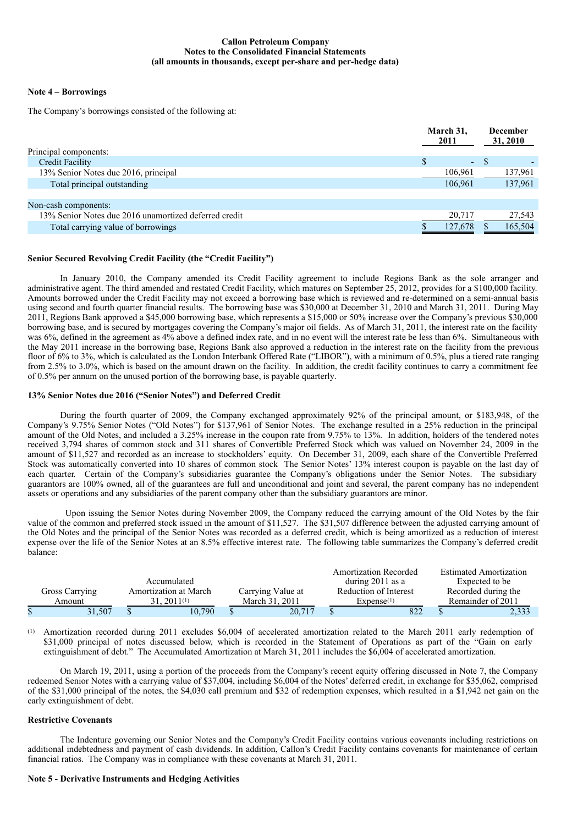### **Note 4 – Borrowings**

The Company's borrowings consisted of the following at:

| <b>December</b><br>31, 2010 |
|-----------------------------|
| $\overline{\phantom{a}}$    |
| 106,961<br>137,961          |
| 106.961<br>137,961          |
|                             |
|                             |
| 20,717<br>27,543            |
| 165,504<br>127,678          |
| March 31.                   |

## **Senior Secured Revolving Credit Facility (the "Credit Facility")**

In January 2010, the Company amended its Credit Facility agreement to include Regions Bank as the sole arranger and administrative agent. The third amended and restated Credit Facility, which matures on September 25, 2012, provides for a \$100,000 facility. Amounts borrowed under the Credit Facility may not exceed a borrowing base which is reviewed and re-determined on a semi-annual basis using second and fourth quarter financial results. The borrowing base was \$30,000 at December 31, 2010 and March 31, 2011. During May 2011, Regions Bank approved a \$45,000 borrowing base, which represents a \$15,000 or 50% increase over the Company's previous \$30,000 borrowing base, and is secured by mortgages covering the Company's major oil fields. As of March 31, 2011, the interest rate on the facility was 6%, defined in the agreement as 4% above a defined index rate, and in no event will the interest rate be less than 6%. Simultaneous with the May 2011 increase in the borrowing base, Regions Bank also approved a reduction in the interest rate on the facility from the previous floor of 6% to 3%, which is calculated as the London Interbank Offered Rate ("LIBOR"), with a minimum of 0.5%, plus a tiered rate ranging from 2.5% to 3.0%, which is based on the amount drawn on the facility. In addition, the credit facility continues to carry a commitment fee of 0.5% per annum on the unused portion of the borrowing base, is payable quarterly.

### **13% Senior Notes due 2016 ("Senior Notes") and Deferred Credit**

During the fourth quarter of 2009, the Company exchanged approximately 92% of the principal amount, or \$183,948, of the Company's 9.75% Senior Notes ("Old Notes") for \$137,961 of Senior Notes. The exchange resulted in a 25% reduction in the principal amount of the Old Notes, and included a 3.25% increase in the coupon rate from 9.75% to 13%. In addition, holders of the tendered notes received 3,794 shares of common stock and 311 shares of Convertible Preferred Stock which was valued on November 24, 2009 in the amount of \$11,527 and recorded as an increase to stockholders' equity. On December 31, 2009, each share of the Convertible Preferred Stock was automatically converted into 10 shares of common stock The Senior Notes' 13% interest coupon is payable on the last day of each quarter. Certain of the Company's subsidiaries guarantee the Company's obligations under the Senior Notes. The subsidiary guarantors are 100% owned, all of the guarantees are full and unconditional and joint and several, the parent company has no independent assets or operations and any subsidiaries of the parent company other than the subsidiary guarantors are minor.

Upon issuing the Senior Notes during November 2009, the Company reduced the carrying amount of the Old Notes by the fair value of the common and preferred stock issued in the amount of \$11,527. The \$31,507 difference between the adjusted carrying amount of the Old Notes and the principal of the Senior Notes was recorded as a deferred credit, which is being amortized as a reduction of interest expense over the life of the Senior Notes at an 8.5% effective interest rate. The following table summarizes the Company's deferred credit balance:

|   |                       |                              |                   | Amortization Recorded  | <b>Estimated Amortization</b> |
|---|-----------------------|------------------------------|-------------------|------------------------|-------------------------------|
|   |                       | Accumulated                  |                   | during $2011$ as a     | Expected to be                |
|   | <b>Gross Carrying</b> | <b>Amortization at March</b> | Carrying Value at | Reduction of Interest  | Recorded during the           |
|   | Amount                | 31, 2011(1)                  | March 31, 2011    | Expense <sup>(1)</sup> | Remainder of 2011             |
| ሖ | 31.507                | 10.790                       | 20.717            | 822                    | 2.333                         |

(1) Amortization recorded during 2011 excludes \$6,004 of accelerated amortization related to the March 2011 early redemption of \$31,000 principal of notes discussed below, which is recorded in the Statement of Operations as part of the "Gain on early extinguishment of debt." The Accumulated Amortization at March 31, 2011 includes the \$6,004 of accelerated amortization.

On March 19, 2011, using a portion of the proceeds from the Company's recent equity offering discussed in Note 7, the Company redeemed Senior Notes with a carrying value of \$37,004, including \$6,004 of the Notes'deferred credit, in exchange for \$35,062, comprised of the \$31,000 principal of the notes, the \$4,030 call premium and \$32 of redemption expenses, which resulted in a \$1,942 net gain on the early extinguishment of debt.

## **Restrictive Covenants**

The Indenture governing our Senior Notes and the Company's Credit Facility contains various covenants including restrictions on additional indebtedness and payment of cash dividends. In addition, Callon's Credit Facility contains covenants for maintenance of certain financial ratios. The Company was in compliance with these covenants at March 31, 2011.

## **Note 5 - Derivative Instruments and Hedging Activities**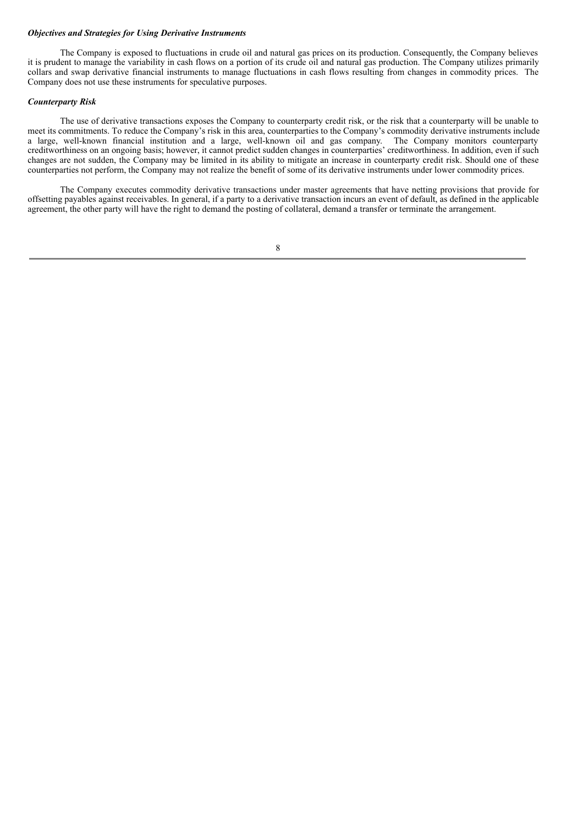### *Objectives and Strategies for Using Derivative Instruments*

The Company is exposed to fluctuations in crude oil and natural gas prices on its production. Consequently, the Company believes it is prudent to manage the variability in cash flows on a portion of its crude oil and natural gas production. The Company utilizes primarily collars and swap derivative financial instruments to manage fluctuations in cash flows resulting from changes in commodity prices. The Company does not use these instruments for speculative purposes.

### *Counterparty Risk*

The use of derivative transactions exposes the Company to counterparty credit risk, or the risk that a counterparty will be unable to meet its commitments. To reduce the Company's risk in this area, counterparties to the Company's commodity derivative instruments include a large, well-known financial institution and a large, well-known oil and gas company. The Company monitors counterparty creditworthiness on an ongoing basis; however, it cannot predict sudden changes in counterparties' creditworthiness. In addition, even if such changes are not sudden, the Company may be limited in its ability to mitigate an increase in counterparty credit risk. Should one of these counterparties not perform, the Company may not realize the benefit of some of its derivative instruments under lower commodity prices.

The Company executes commodity derivative transactions under master agreements that have netting provisions that provide for offsetting payables against receivables. In general, if a party to a derivative transaction incurs an event of default, as defined in the applicable agreement, the other party will have the right to demand the posting of collateral, demand a transfer or terminate the arrangement.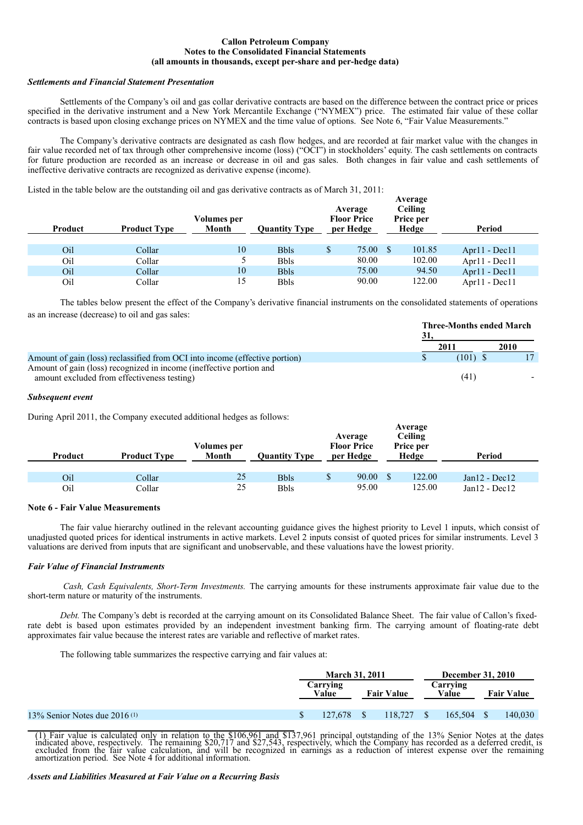### *Settlements and Financial Statement Presentation*

Settlements of the Company's oil and gas collar derivative contracts are based on the difference between the contract price or prices specified in the derivative instrument and a New York Mercantile Exchange ("NYMEX") price. The estimated fair value of these collar contracts is based upon closing exchange prices on NYMEX and the time value of options. See Note 6, "Fair Value Measurements."

The Company's derivative contracts are designated as cash flow hedges, and are recorded at fair market value with the changes in fair value recorded net of tax through other comprehensive income (loss) ("OCI") in stockholders' equity. The cash settlements on contracts for future production are recorded as an increase or decrease in oil and gas sales. Both changes in fair value and cash settlements of ineffective derivative contracts are recognized as derivative expense (income).

Listed in the table below are the outstanding oil and gas derivative contracts as of March 31, 2011:

| Product         | <b>Product Type</b> | <b>Volumes per</b><br>Month | <b>Ouantity Type</b> | Average<br><b>Floor Price</b><br>per Hedge |  | Average<br><b>Ceiling</b><br>Price per<br>Hedge | Period          |
|-----------------|---------------------|-----------------------------|----------------------|--------------------------------------------|--|-------------------------------------------------|-----------------|
|                 |                     |                             |                      |                                            |  |                                                 |                 |
| Oil             | Collar              | 10                          | <b>Bbls</b>          | \$<br>75.00 \$                             |  | 101.85                                          | $April - Decl1$ |
| Oil             | Collar              | 5                           | <b>Bbls</b>          | 80.00                                      |  | 102.00                                          | $April - Decl1$ |
| Oil             | Collar              | 10                          | <b>Bbls</b>          | 75.00                                      |  | 94.50                                           | $April - Decl1$ |
| O <sub>il</sub> | Collar              | 15                          | <b>Bbls</b>          | 90.00                                      |  | 122.00                                          | $April - Decl1$ |

The tables below present the effect of the Company's derivative financial instruments on the consolidated statements of operations as an increase (decrease) to oil and gas sales:

|                                                                                                                    | <b>Three-Months ended March</b> |      |
|--------------------------------------------------------------------------------------------------------------------|---------------------------------|------|
|                                                                                                                    | 2011                            | 2010 |
| Amount of gain (loss) reclassified from OCI into income (effective portion)                                        | $(101)$ \$                      |      |
| Amount of gain (loss) recognized in income (ineffective portion and<br>amount excluded from effectiveness testing) | (41)                            |      |

#### *Subsequent event*

During April 2011, the Company executed additional hedges as follows:

| Product | <b>Product Type</b> | Volumes per<br>Month | <b>Quantity Type</b> | Average<br><b>Floor Price</b><br>per Hedge |       | Average<br><b>Ceiling</b><br>Price per<br>Hedge | Period          |
|---------|---------------------|----------------------|----------------------|--------------------------------------------|-------|-------------------------------------------------|-----------------|
| Oil     | Collar              | 25                   | <b>Bbls</b>          | \$                                         | 90.00 | 122.00                                          | $Jan12 - Dec12$ |
| Oil     | Collar              | 25                   | <b>Bbls</b>          |                                            | 95.00 | 125.00                                          | $Jan12 - Dec12$ |

#### **Note 6 - Fair Value Measurements**

The fair value hierarchy outlined in the relevant accounting guidance gives the highest priority to Level 1 inputs, which consist of unadjusted quoted prices for identical instruments in active markets. Level 2 inputs consist of quoted prices for similar instruments. Level 3 valuations are derived from inputs that are significant and unobservable, and these valuations have the lowest priority.

#### *Fair Value of Financial Instruments*

*Cash, Cash Equivalents, Short-Term Investments.* The carrying amounts for these instruments approximate fair value due to the short-term nature or maturity of the instruments.

*Debt.* The Company's debt is recorded at the carrying amount on its Consolidated Balance Sheet. The fair value of Callon's fixedrate debt is based upon estimates provided by an independent investment banking firm. The carrying amount of floating-rate debt approximates fair value because the interest rates are variable and reflective of market rates.

The following table summarizes the respective carrying and fair values at:

|                                | <b>March 31, 2011</b> |                   | <b>December 31, 2010</b> |  |                   |  |                   |
|--------------------------------|-----------------------|-------------------|--------------------------|--|-------------------|--|-------------------|
|                                |                       | Carrying<br>Value | <b>Fair Value</b>        |  | Carrying<br>Value |  | <b>Fair Value</b> |
| 13% Senior Notes due $2016(1)$ |                       | 127,678           | 118,727                  |  | 165,504           |  | 140.030           |

(1) Fair value is calculated only in relation to the \$106,961 and \$137,961 principal outstanding of the 13% Senior Notes at the dates indicated above, respectively. The remaining \$20,717 and \$27,543, respectively, which t

#### *Assets and Liabilities Measured at Fair Value on a Recurring Basis*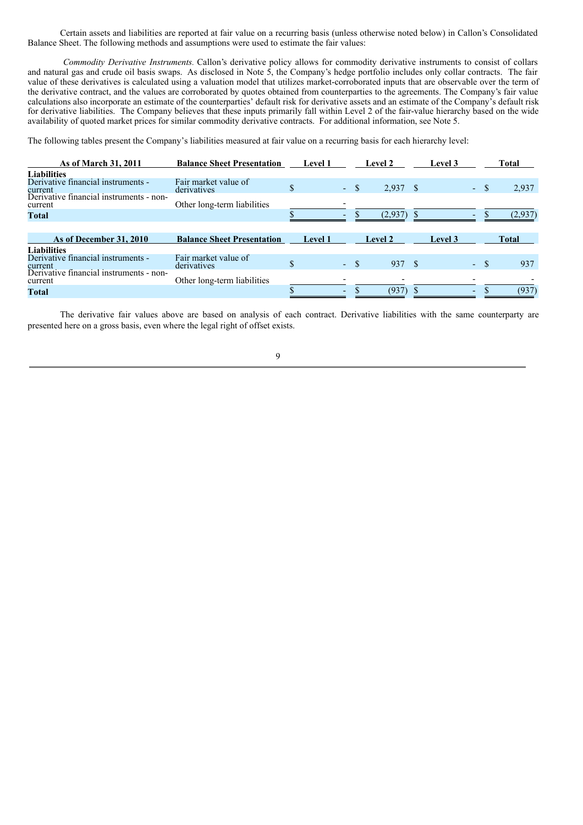Certain assets and liabilities are reported at fair value on a recurring basis (unless otherwise noted below) in Callon's Consolidated Balance Sheet. The following methods and assumptions were used to estimate the fair values:

*Commodity Derivative Instruments.* Callon's derivative policy allows for commodity derivative instruments to consist of collars and natural gas and crude oil basis swaps. As disclosed in Note  $\hat{5}$ , the Company's hedge portfolio includes only collar contracts. The fair value of these derivatives is calculated using a valuation model that utilizes market-corroborated inputs that are observable over the term of the derivative contract, and the values are corroborated by quotes obtained from counterparties to the agreements. The Company's fair value calculations also incorporate an estimate of the counterparties' default risk for derivative assets and an estimate of the Company's default risk for derivative liabilities. The Company believes that these inputs primarily fall within Level 2 of the fair-value hierarchy based on the wide availability of quoted market prices for similar commodity derivative contracts. For additional information, see Note 5.

The following tables present the Company's liabilities measured at fair value on a recurring basis for each hierarchy level:

| <b>Balance Sheet Presentation</b><br>As of March 31, 2011 |                             | <b>Level 1</b><br><b>Level 2</b> |                          |    | Level 3              |  |                      | Total |                                                                          |              |
|-----------------------------------------------------------|-----------------------------|----------------------------------|--------------------------|----|----------------------|--|----------------------|-------|--------------------------------------------------------------------------|--------------|
|                                                           |                             |                                  |                          |    |                      |  |                      |       |                                                                          |              |
| Fair market value of<br>derivatives                       | $\mathcal{S}$               |                                  |                          | -S |                      |  |                      |       |                                                                          | 2,937        |
| Other long-term liabilities                               |                             |                                  |                          |    |                      |  |                      |       |                                                                          |              |
|                                                           |                             |                                  | $\overline{\phantom{0}}$ |    | (2,937)              |  |                      |       |                                                                          | (2,937)      |
|                                                           |                             |                                  |                          |    |                      |  |                      |       |                                                                          |              |
| <b>Balance Sheet Presentation</b>                         |                             | <b>Level 1</b>                   |                          |    | <b>Level 2</b>       |  | Level 3              |       |                                                                          | <b>Total</b> |
|                                                           |                             |                                  |                          |    |                      |  |                      |       |                                                                          |              |
| Fair market value of<br>derivatives                       | $\mathcal{S}$               |                                  |                          |    |                      |  |                      |       |                                                                          | 937          |
|                                                           |                             |                                  |                          |    |                      |  |                      |       |                                                                          |              |
|                                                           |                             |                                  | $\overline{\phantom{0}}$ |    | (937)                |  |                      |       |                                                                          | (937)        |
|                                                           | Other long-term liabilities |                                  |                          |    | $\sim 100$<br>$-$ \$ |  | $2,937$ \$<br>937 \$ |       | $\overline{\phantom{0}}$<br>$\Delta \sim 10$<br>$\overline{\phantom{0}}$ | $-$ \$       |

The derivative fair values above are based on analysis of each contract. Derivative liabilities with the same counterparty are presented here on a gross basis, even where the legal right of offset exists.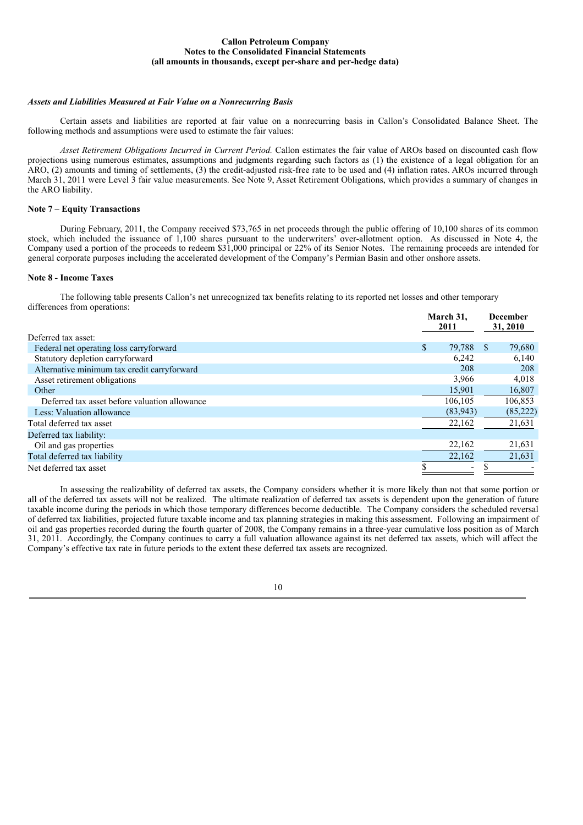### *Assets and Liabilities Measured at Fair Value on a Nonrecurring Basis*

Certain assets and liabilities are reported at fair value on a nonrecurring basis in Callon's Consolidated Balance Sheet. The following methods and assumptions were used to estimate the fair values:

*Asset Retirement Obligations Incurred in Current Period.* Callon estimates the fair value of AROs based on discounted cash flow projections using numerous estimates, assumptions and judgments regarding such factors as (1) the existence of a legal obligation for an ARO, (2) amounts and timing of settlements, (3) the credit-adjusted risk-free rate to be used and (4) inflation rates. AROs incurred through March 31, 2011 were Level 3 fair value measurements. See Note 9, Asset Retirement Obligations, which provides a summary of changes in the ARO liability.

# **Note 7 – Equity Transactions**

During February, 2011, the Company received \$73,765 in net proceeds through the public offering of 10,100 shares of its common stock, which included the issuance of 1,100 shares pursuant to the underwriters' over-allotment option. As discussed in Note 4, the Company used a portion of the proceeds to redeem \$31,000 principal or 22% of its Senior Notes. The remaining proceeds are intended for general corporate purposes including the accelerated development of the Company's Permian Basin and other onshore assets.

### **Note 8 - Income Taxes**

The following table presents Callon's net unrecognized tax benefits relating to its reported net losses and other temporary differences from operations:

|                                               | March 31.<br>2011 | <b>December</b><br>31, 2010 |
|-----------------------------------------------|-------------------|-----------------------------|
| Deferred tax asset:                           |                   |                             |
| Federal net operating loss carryforward       | \$                | 79,788 \$<br>79,680         |
| Statutory depletion carryforward              |                   | 6,140<br>6.242              |
| Alternative minimum tax credit carryforward   |                   | 208<br><b>208</b>           |
| Asset retirement obligations                  |                   | 4,018<br>3,966              |
| Other                                         | 15,901            | 16,807                      |
| Deferred tax asset before valuation allowance | 106.105           | 106,853                     |
| Less: Valuation allowance                     | (83,943)          | (85, 222)                   |
| Total deferred tax asset                      | 22,162            | 21,631                      |
| Deferred tax liability:                       |                   |                             |
| Oil and gas properties                        | 22,162            | 21,631                      |
| Total deferred tax liability                  | 22,162            | 21,631                      |
| Net deferred tax asset                        |                   | $\overline{\phantom{a}}$    |

In assessing the realizability of deferred tax assets, the Company considers whether it is more likely than not that some portion or all of the deferred tax assets will not be realized. The ultimate realization of deferred tax assets is dependent upon the generation of future taxable income during the periods in which those temporary differences become deductible. The Company considers the scheduled reversal of deferred tax liabilities, projected future taxable income and tax planning strategies in making this assessment. Following an impairment of oil and gas properties recorded during the fourth quarter of 2008, the Company remains in a three-year cumulative loss position as of March 31, 2011. Accordingly, the Company continues to carry a full valuation allowance against its net deferred tax assets, which will affect the Company's effective tax rate in future periods to the extent these deferred tax assets are recognized.

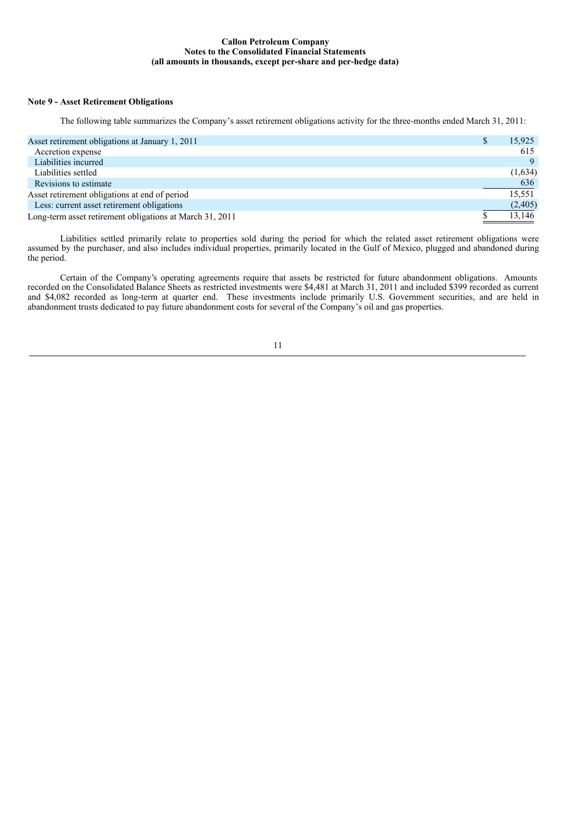## **Note 9 - Asset Retirement Obligations**

The following table summarizes the Company's asset retirement obligations activity for the three-months ended March 31, 2011:

| Asset retirement obligations at January 1, 2011          | 15,925   |
|----------------------------------------------------------|----------|
| Accretion expense                                        | 615      |
| Liabilities incurred                                     | <b>Q</b> |
| Liabilities settled                                      | (1,634)  |
| Revisions to estimate                                    | 636      |
| Asset retirement obligations at end of period            | 15,551   |
| Less: current asset retirement obligations               | (2,405)  |
| Long-term asset retirement obligations at March 31, 2011 | 13,146   |

Liabilities settled primarily relate to properties sold during the period for which the related asset retirement obligations were assumed by the purchaser, and also includes individual properties, primarily located in the Gulf of Mexico, plugged and abandoned during the period.

Certain of the Company's operating agreements require that assets be restricted for future abandonment obligations. Amounts recorded on the Consolidated Balance Sheets as restricted investments were \$4,481 at March 31, 2011 and included \$399 recorded as current and \$4,082 recorded as long-term at quarter end. These investments include primarily U.S. Government securities, and are held in abandonment trusts dedicated to pay future abandonment costs for several of the Company's oil and gas properties.

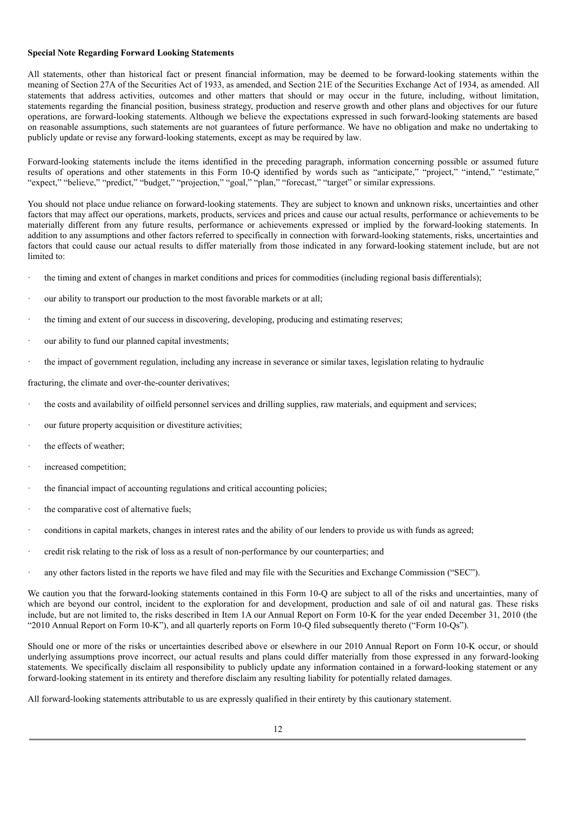## **Special Note Regarding Forward Looking Statements**

All statements, other than historical fact or present financial information, may be deemed to be forward-looking statements within the meaning of Section 27A of the Securities Act of 1933, as amended, and Section 21E of the Securities Exchange Act of 1934, as amended. All statements that address activities, outcomes and other matters that should or may occur in the future, including, without limitation, statements regarding the financial position, business strategy, production and reserve growth and other plans and objectives for our future operations, are forward-looking statements. Although we believe the expectations expressed in such forward-looking statements are based on reasonable assumptions, such statements are not guarantees of future performance. We have no obligation and make no undertaking to publicly update or revise any forward-looking statements, except as may be required by law.

Forward-looking statements include the items identified in the preceding paragraph, information concerning possible or assumed future results of operations and other statements in this Form 10-Q identified by words such as "anticipate," "project," "intend," "estimate," "expect," "believe," "predict," "budget," "projection," "goal," "plan," "forecast," "target" or similar expressions.

You should not place undue reliance on forward-looking statements. They are subject to known and unknown risks, uncertainties and other factors that may affect our operations, markets, products, services and prices and cause our actual results, performance or achievements to be materially different from any future results, performance or achievements expressed or implied by the forward-looking statements. In addition to any assumptions and other factors referred to specifically in connection with forward-looking statements, risks, uncertainties and factors that could cause our actual results to differ materially from those indicated in any forward-looking statement include, but are not limited to:

- · the timing and extent of changes in market conditions and prices for commodities (including regional basis differentials);
- our ability to transport our production to the most favorable markets or at all;
- · the timing and extent of our success in discovering, developing, producing and estimating reserves;
- our ability to fund our planned capital investments;
- · the impact of government regulation, including any increase in severance or similar taxes, legislation relating to hydraulic

fracturing, the climate and over-the-counter derivatives;

- · the costs and availability of oilfield personnel services and drilling supplies, raw materials, and equipment and services;
- our future property acquisition or divestiture activities;
- the effects of weather:
- increased competition;
- the financial impact of accounting regulations and critical accounting policies;
- the comparative cost of alternative fuels;
- · conditions in capital markets, changes in interest rates and the ability of our lenders to provide us with funds as agreed;
- credit risk relating to the risk of loss as a result of non-performance by our counterparties; and
- any other factors listed in the reports we have filed and may file with the Securities and Exchange Commission ("SEC").

We caution you that the forward-looking statements contained in this Form 10-Q are subject to all of the risks and uncertainties, many of which are beyond our control, incident to the exploration for and development, production and sale of oil and natural gas. These risks include, but are not limited to, the risks described in Item 1A our Annual Report on Form 10-K for the year ended December 31, 2010 (the "2010 Annual Report on Form 10-K"), and all quarterly reports on Form 10-Q filed subsequently thereto ("Form 10-Qs").

Should one or more of the risks or uncertainties described above or elsewhere in our 2010 Annual Report on Form 10-K occur, or should underlying assumptions prove incorrect, our actual results and plans could differ materially from those expressed in any forward-looking statements. We specifically disclaim all responsibility to publicly update any information contained in a forward-looking statement or any forward-looking statement in its entirety and therefore disclaim any resulting liability for potentially related damages.

All forward-looking statements attributable to us are expressly qualified in their entirety by this cautionary statement.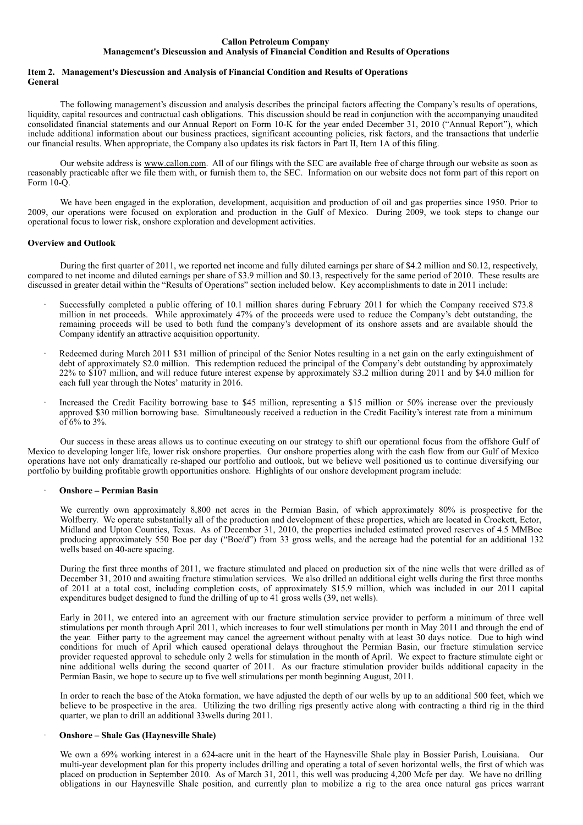### **Item 2. Management's Diescussion and Analysis of Financial Condition and Results of Operations General**

The following management's discussion and analysis describes the principal factors affecting the Company's results of operations, liquidity, capital resources and contractual cash obligations. This discussion should be read in conjunction with the accompanying unaudited consolidated financial statements and our Annual Report on Form 10-K for the year ended December 31, 2010 ("Annual Report"), which include additional information about our business practices, significant accounting policies, risk factors, and the transactions that underlie our financial results. When appropriate, the Company also updates its risk factors in Part II, Item 1A of this filing.

Our website address is www.callon.com. All of our filings with the SEC are available free of charge through our website as soon as reasonably practicable after we file them with, or furnish them to, the SEC. Information on our website does not form part of this report on Form 10-Q.

We have been engaged in the exploration, development, acquisition and production of oil and gas properties since 1950. Prior to 2009, our operations were focused on exploration and production in the Gulf of Mexico. During 2009, we took steps to change our operational focus to lower risk, onshore exploration and development activities.

### **Overview and Outlook**

During the first quarter of 2011, we reported net income and fully diluted earnings per share of \$4.2 million and \$0.12, respectively, compared to net income and diluted earnings per share of \$3.9 million and \$0.13, respectively for the same period of 2010. These results are discussed in greater detail within the "Results of Operations" section included below. Key accomplishments to date in 2011 include:

- Successfully completed a public offering of 10.1 million shares during February 2011 for which the Company received \$73.8 million in net proceeds. While approximately 47% of the proceeds were used to reduce the Company's debt outstanding, the remaining proceeds will be used to both fund the company's development of its onshore assets and are available should the Company identify an attractive acquisition opportunity.
- Redeemed during March 2011 \$31 million of principal of the Senior Notes resulting in a net gain on the early extinguishment of debt of approximately \$2.0 million. This redemption reduced the principal of the Company's debt outstanding by approximately 22% to \$107 million, and will reduce future interest expense by approximately \$3.2 million during 2011 and by \$4.0 million for each full year through the Notes' maturity in 2016.
- Increased the Credit Facility borrowing base to \$45 million, representing a \$15 million or 50% increase over the previously approved \$30 million borrowing base. Simultaneously received a reduction in the Credit Facility's interest rate from a minimum of 6% to 3%.

Our success in these areas allows us to continue executing on our strategy to shift our operational focus from the offshore Gulf of Mexico to developing longer life, lower risk onshore properties. Our onshore properties along with the cash flow from our Gulf of Mexico operations have not only dramatically re-shaped our portfolio and outlook, but we believe well positioned us to continue diversifying our portfolio by building profitable growth opportunities onshore. Highlights of our onshore development program include:

## · **Onshore – Permian Basin**

We currently own approximately 8,800 net acres in the Permian Basin, of which approximately 80% is prospective for the Wolfberry. We operate substantially all of the production and development of these properties, which are located in Crockett, Ector, Midland and Upton Counties, Texas. As of December 31, 2010, the properties included estimated proved reserves of 4.5 MMBoe producing approximately 550 Boe per day ("Boe/d") from 33 gross wells, and the acreage had the potential for an additional 132 wells based on 40-acre spacing.

During the first three months of 2011, we fracture stimulated and placed on production six of the nine wells that were drilled as of December 31, 2010 and awaiting fracture stimulation services. We also drilled an additional eight wells during the first three months of 2011 at a total cost, including completion costs, of approximately \$15.9 million, which was included in our 2011 capital expenditures budget designed to fund the drilling of up to 41 gross wells (39, net wells).

Early in 2011, we entered into an agreement with our fracture stimulation service provider to perform a minimum of three well stimulations per month through April 2011, which increases to four well stimulations per month in May 2011 and through the end of the year. Either party to the agreement may cancel the agreement without penalty with at least 30 days notice. Due to high wind conditions for much of April which caused operational delays throughout the Permian Basin, our fracture stimulation service provider requested approval to schedule only 2 wells for stimulation in the month of April. We expect to fracture stimulate eight or nine additional wells during the second quarter of 2011. As our fracture stimulation provider builds additional capacity in the Permian Basin, we hope to secure up to five well stimulations per month beginning August, 2011.

In order to reach the base of the Atoka formation, we have adjusted the depth of our wells by up to an additional 500 feet, which we believe to be prospective in the area. Utilizing the two drilling rigs presently active along with contracting a third rig in the third quarter, we plan to drill an additional 33wells during 2011.

### · **Onshore – Shale Gas (Haynesville Shale)**

We own a 69% working interest in a 624-acre unit in the heart of the Haynesville Shale play in Bossier Parish, Louisiana. Our multi-year development plan for this property includes drilling and operating a total of seven horizontal wells, the first of which was placed on production in September 2010. As of March 31, 2011, this well was producing 4,200 Mcfe per day. We have no drilling obligations in our Haynesville Shale position, and currently plan to mobilize a rig to the area once natural gas prices warrant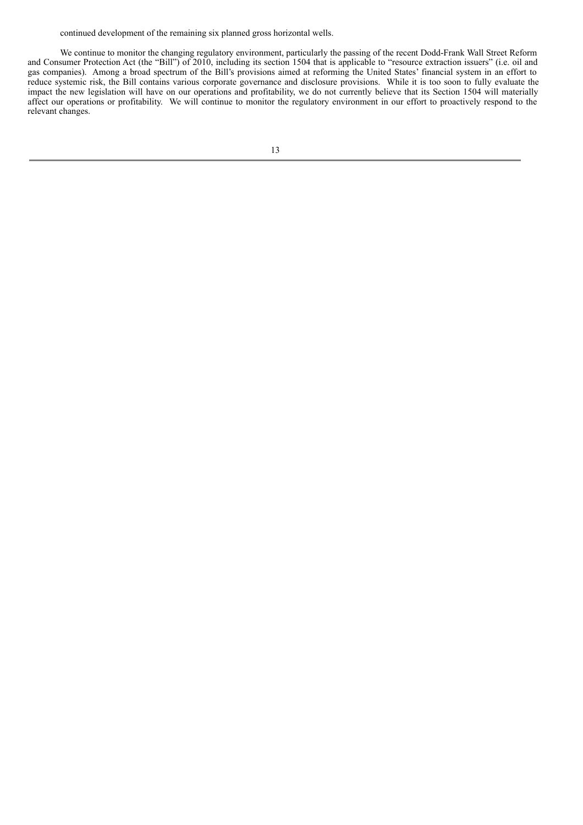continued development of the remaining six planned gross horizontal wells.

We continue to monitor the changing regulatory environment, particularly the passing of the recent Dodd-Frank Wall Street Reform and Consumer Protection Act (the "Bill") of 2010, including its section 1504 that is applicable to "resource extraction issuers" (i.e. oil and gas companies). Among a broad spectrum of the Bill's provisions aimed at reforming the United States' financial system in an effort to reduce systemic risk, the Bill contains various corporate governance and disclosure provisions. While it is too soon to fully evaluate the impact the new legislation will have on our operations and profitability, we do not currently believe that its Section 1504 will materially affect our operations or profitability. We will continue to monitor the regulatory environment in our effort to proactively respond to the relevant changes.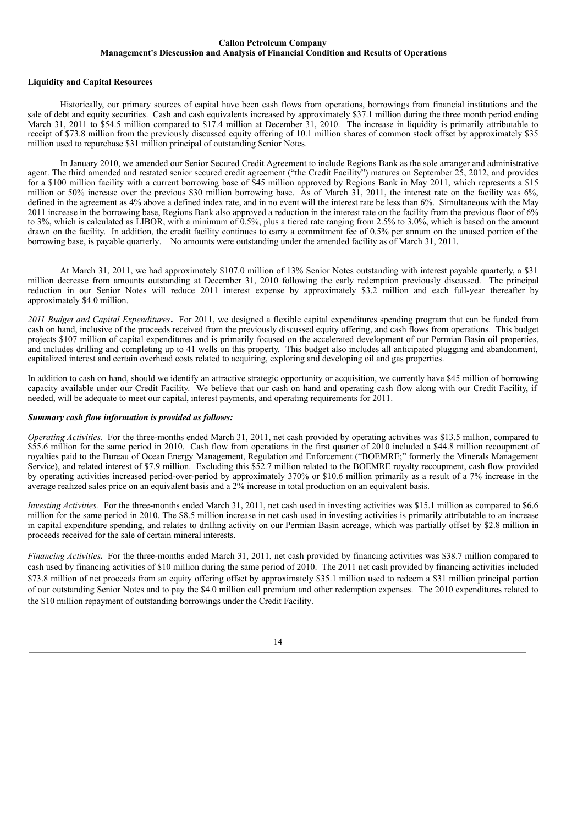### **Liquidity and Capital Resources**

Historically, our primary sources of capital have been cash flows from operations, borrowings from financial institutions and the sale of debt and equity securities. Cash and cash equivalents increased by approximately \$37.1 million during the three month period ending March 31, 2011 to \$54.5 million compared to \$17.4 million at December 31, 2010. The increase in liquidity is primarily attributable to receipt of \$73.8 million from the previously discussed equity offering of 10.1 million shares of common stock offset by approximately \$35 million used to repurchase \$31 million principal of outstanding Senior Notes.

In January 2010, we amended our Senior Secured Credit Agreement to include Regions Bank as the sole arranger and administrative agent. The third amended and restated senior secured credit agreement ("the Credit Facility") matures on September 25, 2012, and provides for a \$100 million facility with a current borrowing base of \$45 million approved by Regions Bank in May 2011, which represents a \$15 million or 50% increase over the previous \$30 million borrowing base. As of March 31, 2011, the interest rate on the facility was 6%, defined in the agreement as 4% above a defined index rate, and in no event will the interest rate be less than 6%. Simultaneous with the May 2011 increase in the borrowing base, Regions Bank also approved a reduction in the interest rate on the facility from the previous floor of 6% to 3%, which is calculated as LIBOR, with a minimum of  $0.5%$ , plus a tiered rate ranging from 2.5% to 3.0%, which is based on the amount drawn on the facility. In addition, the credit facility continues to carry a commitment fee of 0.5% per annum on the unused portion of the borrowing base, is payable quarterly. No amounts were outstanding under the amended facility as of March 31, 2011.

At March 31, 2011, we had approximately \$107.0 million of 13% Senior Notes outstanding with interest payable quarterly, a \$31 million decrease from amounts outstanding at December 31, 2010 following the early redemption previously discussed. The principal reduction in our Senior Notes will reduce 2011 interest expense by approximately \$3.2 million and each full-year thereafter by approximately \$4.0 million.

*2011 Budget and Capital Expenditures***.** For 2011, we designed a flexible capital expenditures spending program that can be funded from cash on hand, inclusive of the proceeds received from the previously discussed equity offering, and cash flows from operations. This budget projects \$107 million of capital expenditures and is primarily focused on the accelerated development of our Permian Basin oil properties, and includes drilling and completing up to 41 wells on this property. This budget also includes all anticipated plugging and abandonment, capitalized interest and certain overhead costs related to acquiring, exploring and developing oil and gas properties.

In addition to cash on hand, should we identify an attractive strategic opportunity or acquisition, we currently have \$45 million of borrowing capacity available under our Credit Facility. We believe that our cash on hand and operating cash flow along with our Credit Facility, if needed, will be adequate to meet our capital, interest payments, and operating requirements for 2011.

#### *Summary cash flow information is provided as follows:*

*Operating Activities.* For the three-months ended March 31, 2011, net cash provided by operating activities was \$13.5 million, compared to \$55.6 million for the same period in 2010. Cash flow from operations in the first quarter of 2010 included a \$44.8 million recoupment of royalties paid to the Bureau of Ocean Energy Management, Regulation and Enforcement ("BOEMRE;" formerly the Minerals Management Service), and related interest of \$7.9 million. Excluding this \$52.7 million related to the BOEMRE royalty recoupment, cash flow provided by operating activities increased period-over-period by approximately 370% or \$10.6 million primarily as a result of a 7% increase in the average realized sales price on an equivalent basis and a 2% increase in total production on an equivalent basis.

*Investing Activities.* For the three-months ended March 31, 2011, net cash used in investing activities was \$15.1 million as compared to \$6.6 million for the same period in 2010. The \$8.5 million increase in net cash used in investing activities is primarily attributable to an increase in capital expenditure spending, and relates to drilling activity on our Permian Basin acreage, which was partially offset by \$2.8 million in proceeds received for the sale of certain mineral interests.

*Financing Activities.* For the three-months ended March 31, 2011, net cash provided by financing activities was \$38.7 million compared to cash used by financing activities of \$10 million during the same period of 2010. The 2011 net cash provided by financing activities included \$73.8 million of net proceeds from an equity offering offset by approximately \$35.1 million used to redeem a \$31 million principal portion of our outstanding Senior Notes and to pay the \$4.0 million call premium and other redemption expenses. The 2010 expenditures related to the \$10 million repayment of outstanding borrowings under the Credit Facility.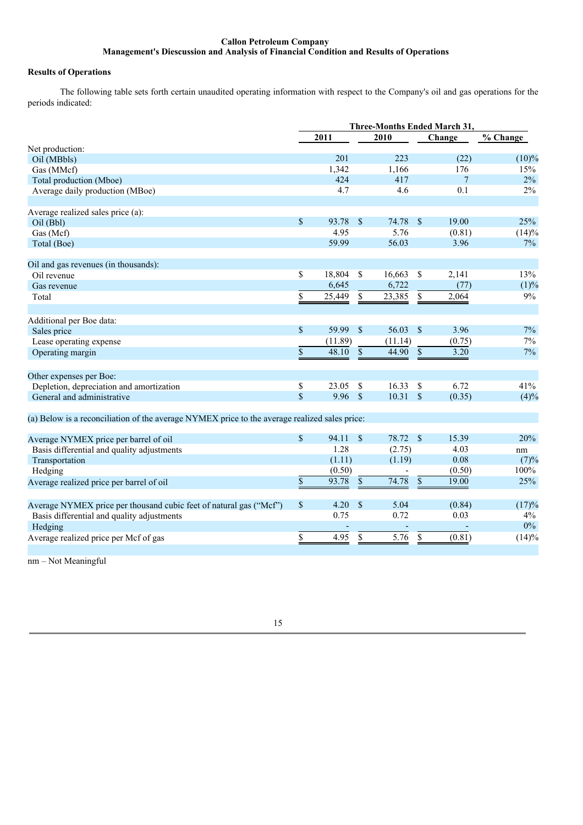# **Results of Operations**

The following table sets forth certain unaudited operating information with respect to the Company's oil and gas operations for the periods indicated:

| Three-Months Ended March 31, |                                                     |                                                                                          |                                                                                                                                                                     |                                                                                             |                                                                                                         |                                                                                                           |  |
|------------------------------|-----------------------------------------------------|------------------------------------------------------------------------------------------|---------------------------------------------------------------------------------------------------------------------------------------------------------------------|---------------------------------------------------------------------------------------------|---------------------------------------------------------------------------------------------------------|-----------------------------------------------------------------------------------------------------------|--|
|                              | 2011                                                |                                                                                          | 2010                                                                                                                                                                |                                                                                             |                                                                                                         | $% Change$                                                                                                |  |
|                              |                                                     |                                                                                          |                                                                                                                                                                     |                                                                                             |                                                                                                         |                                                                                                           |  |
|                              | 201                                                 |                                                                                          | 223                                                                                                                                                                 |                                                                                             | (22)                                                                                                    | $(10)\%$                                                                                                  |  |
|                              | 1,342                                               |                                                                                          | 1,166                                                                                                                                                               |                                                                                             | 176                                                                                                     | 15%                                                                                                       |  |
|                              | 424                                                 |                                                                                          | 417                                                                                                                                                                 |                                                                                             | $\overline{7}$                                                                                          | 2%                                                                                                        |  |
|                              | 4.7                                                 |                                                                                          | 4.6                                                                                                                                                                 |                                                                                             | 0.1                                                                                                     | 2%                                                                                                        |  |
|                              |                                                     |                                                                                          |                                                                                                                                                                     |                                                                                             |                                                                                                         |                                                                                                           |  |
|                              | 93.78                                               | <sup>\$</sup>                                                                            |                                                                                                                                                                     |                                                                                             |                                                                                                         | 25%                                                                                                       |  |
|                              |                                                     |                                                                                          |                                                                                                                                                                     |                                                                                             |                                                                                                         | (14)%                                                                                                     |  |
|                              | 59.99                                               |                                                                                          | 56.03                                                                                                                                                               |                                                                                             | 3.96                                                                                                    | 7%                                                                                                        |  |
|                              |                                                     |                                                                                          |                                                                                                                                                                     |                                                                                             |                                                                                                         |                                                                                                           |  |
|                              |                                                     |                                                                                          |                                                                                                                                                                     |                                                                                             |                                                                                                         | 13%                                                                                                       |  |
|                              |                                                     |                                                                                          |                                                                                                                                                                     |                                                                                             | (77)                                                                                                    | (1)%                                                                                                      |  |
|                              |                                                     |                                                                                          |                                                                                                                                                                     |                                                                                             |                                                                                                         | $9\%$                                                                                                     |  |
|                              |                                                     |                                                                                          |                                                                                                                                                                     |                                                                                             |                                                                                                         |                                                                                                           |  |
| $\mathsf{\$}$                | 59.99                                               | $\mathbf S$                                                                              | 56.03                                                                                                                                                               | \$                                                                                          | 3.96                                                                                                    | 7%                                                                                                        |  |
|                              | (11.89)                                             |                                                                                          |                                                                                                                                                                     |                                                                                             |                                                                                                         | 7%                                                                                                        |  |
| \$                           | 48.10                                               | $\$$                                                                                     | 44.90                                                                                                                                                               | $\mathbb{S}$                                                                                | 3.20                                                                                                    | 7%                                                                                                        |  |
|                              |                                                     |                                                                                          |                                                                                                                                                                     |                                                                                             |                                                                                                         |                                                                                                           |  |
|                              |                                                     |                                                                                          |                                                                                                                                                                     |                                                                                             |                                                                                                         | 41%                                                                                                       |  |
| $\mathbb{S}$                 | 9.96                                                | $\mathcal{S}$                                                                            | 10.31                                                                                                                                                               |                                                                                             | (0.35)                                                                                                  | (4)%                                                                                                      |  |
|                              |                                                     |                                                                                          |                                                                                                                                                                     |                                                                                             |                                                                                                         |                                                                                                           |  |
|                              |                                                     |                                                                                          |                                                                                                                                                                     |                                                                                             |                                                                                                         |                                                                                                           |  |
|                              |                                                     |                                                                                          |                                                                                                                                                                     |                                                                                             |                                                                                                         | 20%                                                                                                       |  |
|                              |                                                     |                                                                                          |                                                                                                                                                                     |                                                                                             |                                                                                                         | nm                                                                                                        |  |
|                              |                                                     |                                                                                          |                                                                                                                                                                     |                                                                                             |                                                                                                         | (7)%                                                                                                      |  |
|                              |                                                     |                                                                                          |                                                                                                                                                                     |                                                                                             |                                                                                                         | 100%                                                                                                      |  |
|                              |                                                     |                                                                                          |                                                                                                                                                                     |                                                                                             |                                                                                                         | 25%                                                                                                       |  |
| $\mathsf{\$}$                | 4.20                                                | $\mathcal{S}$                                                                            | 5.04                                                                                                                                                                |                                                                                             | (0.84)                                                                                                  | (17)%                                                                                                     |  |
|                              | 0.75                                                |                                                                                          | 0.72                                                                                                                                                                |                                                                                             | 0.03                                                                                                    | 4%                                                                                                        |  |
|                              |                                                     |                                                                                          |                                                                                                                                                                     |                                                                                             |                                                                                                         | $0\%$                                                                                                     |  |
|                              | 4.95                                                | \$                                                                                       |                                                                                                                                                                     |                                                                                             | (0.81)                                                                                                  | (14)%                                                                                                     |  |
|                              | $\mathsf{\$}$<br>\$<br>\$<br>\$<br>\$<br>$\,$<br>\$ | 4.95<br>18,804<br>6,645<br>25,449<br>23.05<br>94.11<br>1.28<br>(1.11)<br>(0.50)<br>93.78 | $\mathbb{S}$<br>$\mathbb S$<br>\$<br>(a) Below is a reconciliation of the average NYMEX price to the average realized sales price:<br>$\mathcal{S}$<br>$\mathbb{S}$ | 74.78<br>5.76<br>16,663<br>6,722<br>23,385<br>(11.14)<br>16.33<br>(2.75)<br>(1.19)<br>74.78 | <sup>S</sup><br>$\mathbb{S}$<br>\$<br>\$<br>$\mathbf{\hat{s}}$<br>78.72 \$<br>$\sqrt{\ }$<br>5.76<br>\$ | Change<br>19.00<br>(0.81)<br>2,141<br>2,064<br>(0.75)<br>6.72<br>15.39<br>4.03<br>0.08<br>(0.50)<br>19.00 |  |

nm – Not Meaningful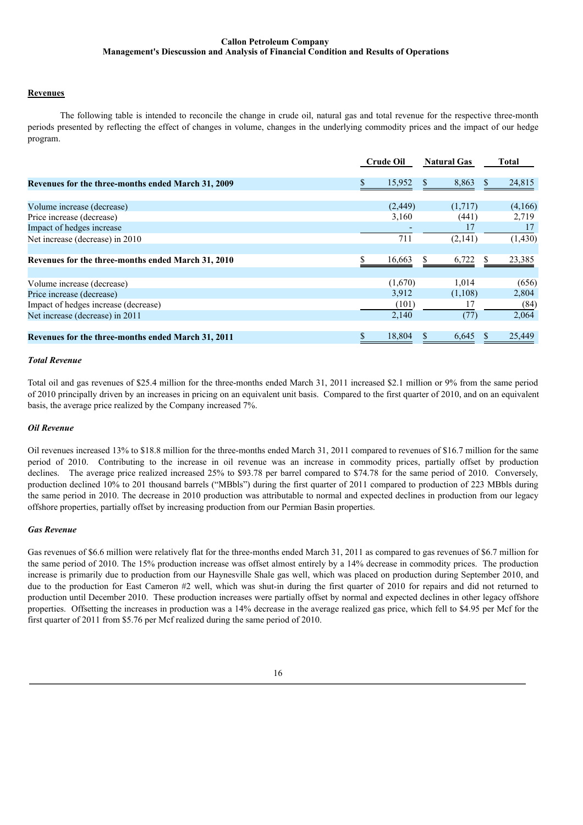## **Revenues**

The following table is intended to reconcile the change in crude oil, natural gas and total revenue for the respective three-month periods presented by reflecting the effect of changes in volume, changes in the underlying commodity prices and the impact of our hedge program.

|                                                    | <b>Crude Oil</b> | <b>Natural Gas</b> |         | <b>Total</b> |
|----------------------------------------------------|------------------|--------------------|---------|--------------|
| Revenues for the three-months ended March 31, 2009 | 15,952           | S.                 | 8,863   | 24,815       |
|                                                    |                  |                    |         |              |
| Volume increase (decrease)                         | (2,449)          |                    | (1,717) | (4,166)      |
| Price increase (decrease)                          | 3,160            |                    | (441)   | 2,719        |
| Impact of hedges increase                          |                  |                    | 17      | 17           |
| Net increase (decrease) in 2010                    | 711              |                    | (2,141) | (1, 430)     |
| Revenues for the three-months ended March 31, 2010 | 16,663           | \$.                | 6,722   | 23,385       |
| Volume increase (decrease)                         | (1,670)          |                    | 1,014   | (656)        |
| Price increase (decrease)                          | 3,912            |                    | (1,108) | 2,804        |
| Impact of hedges increase (decrease)               | (101)            |                    |         | (84)         |
| Net increase (decrease) in 2011                    | 2,140            |                    | (77)    | 2,064        |
| Revenues for the three-months ended March 31, 2011 | 18,804           |                    | 6.645   | 25,449       |

## *Total Revenue*

Total oil and gas revenues of \$25.4 million for the three-months ended March 31, 2011 increased \$2.1 million or 9% from the same period of 2010 principally driven by an increases in pricing on an equivalent unit basis. Compared to the first quarter of 2010, and on an equivalent basis, the average price realized by the Company increased 7%.

## *Oil Revenue*

Oil revenues increased 13% to \$18.8 million for the three-months ended March 31, 2011 compared to revenues of \$16.7 million for the same period of 2010. Contributing to the increase in oil revenue was an increase in commodity prices, partially offset by production declines. The average price realized increased 25% to \$93.78 per barrel compared to \$74.78 for the same period of 2010. Conversely, production declined 10% to 201 thousand barrels ("MBbls") during the first quarter of 2011 compared to production of 223 MBbls during the same period in 2010. The decrease in 2010 production was attributable to normal and expected declines in production from our legacy offshore properties, partially offset by increasing production from our Permian Basin properties.

## *Gas Revenue*

Gas revenues of \$6.6 million were relatively flat for the three-months ended March 31, 2011 as compared to gas revenues of \$6.7 million for the same period of 2010. The 15% production increase was offset almost entirely by a 14% decrease in commodity prices. The production increase is primarily due to production from our Haynesville Shale gas well, which was placed on production during September 2010, and due to the production for East Cameron #2 well, which was shut-in during the first quarter of 2010 for repairs and did not returned to production until December 2010. These production increases were partially offset by normal and expected declines in other legacy offshore properties. Offsetting the increases in production was a 14% decrease in the average realized gas price, which fell to \$4.95 per Mcf for the first quarter of 2011 from \$5.76 per Mcf realized during the same period of 2010.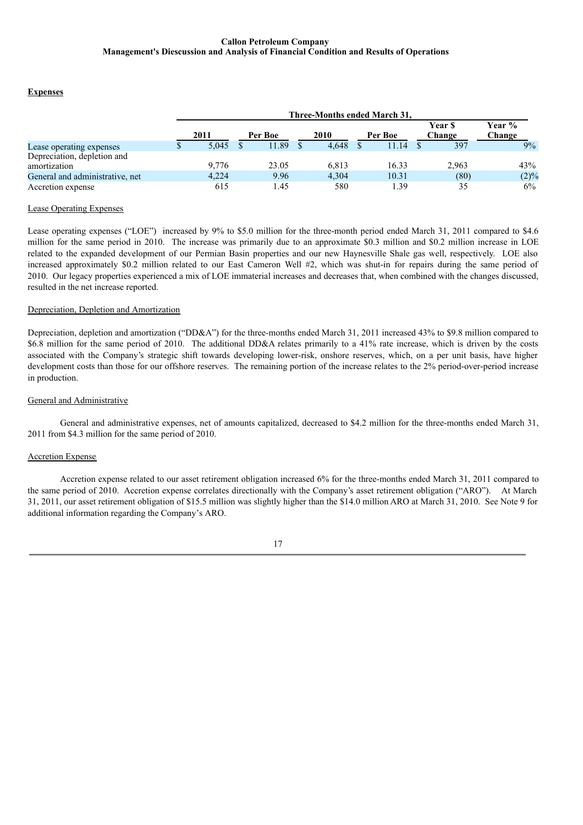# **Expenses**

|                                 | Three-Months ended March 31, |  |         |  |       |  |         |  |                          |                  |
|---------------------------------|------------------------------|--|---------|--|-------|--|---------|--|--------------------------|------------------|
|                                 | 2011                         |  | Per Boe |  | 2010  |  | Per Boe |  | <b>Year \$</b><br>Change | Year %<br>Change |
| Lease operating expenses        | 5.045                        |  | 11.89   |  | 4.648 |  | 11.14   |  | 397                      | 9%               |
| Depreciation, depletion and     |                              |  |         |  |       |  |         |  |                          |                  |
| amortization                    | 9.776                        |  | 23.05   |  | 6.813 |  | 16.33   |  | 2.963                    | 43%              |
| General and administrative, net | 4.224                        |  | 9.96    |  | 4.304 |  | 10.31   |  | (80)                     | $(2)\%$          |
| Accretion expense               | 615                          |  | 1.45    |  | 580   |  | 1.39    |  | 35                       | $6\%$            |

## Lease Operating Expenses

Lease operating expenses ("LOE") increased by 9% to \$5.0 million for the three-month period ended March 31, 2011 compared to \$4.6 million for the same period in 2010. The increase was primarily due to an approximate \$0.3 million and \$0.2 million increase in LOE related to the expanded development of our Permian Basin properties and our new Haynesville Shale gas well, respectively. LOE also increased approximately \$0.2 million related to our East Cameron Well #2, which was shut-in for repairs during the same period of 2010. Our legacy properties experienced a mix of LOE immaterial increases and decreases that, when combined with the changes discussed, resulted in the net increase reported.

### Depreciation, Depletion and Amortization

Depreciation, depletion and amortization ("DD&A") for the three-months ended March 31, 2011 increased 43% to \$9.8 million compared to \$6.8 million for the same period of 2010. The additional DD&A relates primarily to a 41% rate increase, which is driven by the costs associated with the Company's strategic shift towards developing lower-risk, onshore reserves, which, on a per unit basis, have higher development costs than those for our offshore reserves. The remaining portion of the increase relates to the 2% period-over-period increase in production.

### General and Administrative

General and administrative expenses, net of amounts capitalized, decreased to \$4.2 million for the three-months ended March 31, 2011 from \$4.3 million for the same period of 2010.

## Accretion Expense

Accretion expense related to our asset retirement obligation increased 6% for the three-months ended March 31, 2011 compared to the same period of 2010. Accretion expense correlates directionally with the Company's asset retirement obligation ("ARO"). At March 31, 2011, our asset retirement obligation of \$15.5 million was slightly higher than the \$14.0 million ARO at March 31, 2010. See Note 9 for additional information regarding the Company's ARO.

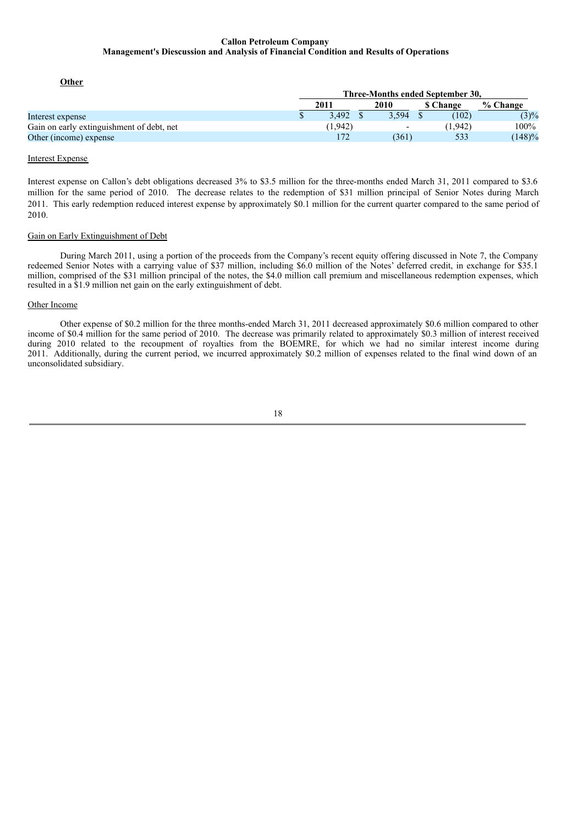| Three-Months ended September 30. |         |  |                          |  |         |                 |  |  |
|----------------------------------|---------|--|--------------------------|--|---------|-----------------|--|--|
|                                  | 2011    |  | 2010                     |  |         | % Change        |  |  |
|                                  | 3.492   |  | 3.594                    |  | (102)   | $(3)\%$         |  |  |
|                                  | (1.942) |  | $\overline{\phantom{0}}$ |  | (1.942) | $100\%$         |  |  |
|                                  | 172     |  | (361)                    |  | 533     | $(148)\%$       |  |  |
|                                  |         |  |                          |  |         | <b>S</b> Change |  |  |

## Interest Expense

**Other**

Interest expense on Callon's debt obligations decreased 3% to \$3.5 million for the three-months ended March 31, 2011 compared to \$3.6 million for the same period of 2010. The decrease relates to the redemption of \$31 million principal of Senior Notes during March 2011. This early redemption reduced interest expense by approximately \$0.1 million for the current quarter compared to the same period of 2010.

## Gain on Early Extinguishment of Debt

During March 2011, using a portion of the proceeds from the Company's recent equity offering discussed in Note 7, the Company redeemed Senior Notes with a carrying value of \$37 million, including \$6.0 million of the Notes' deferred credit, in exchange for \$35.1 million, comprised of the \$31 million principal of the notes, the \$4.0 million call premium and miscellaneous redemption expenses, which resulted in a \$1.9 million net gain on the early extinguishment of debt.

### Other Income

Other expense of \$0.2 million for the three months-ended March 31, 2011 decreased approximately \$0.6 million compared to other income of \$0.4 million for the same period of 2010. The decrease was primarily related to approximately \$0.3 million of interest received during 2010 related to the recoupment of royalties from the BOEMRE, for which we had no similar interest income during 2011. Additionally, during the current period, we incurred approximately \$0.2 million of expenses related to the final wind down of an unconsolidated subsidiary.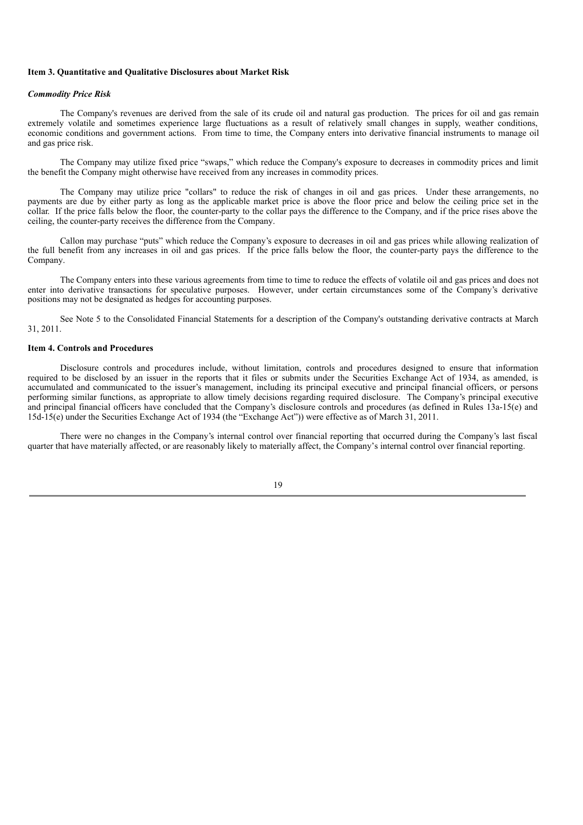### **Item 3. Quantitative and Qualitative Disclosures about Market Risk**

#### *Commodity Price Risk*

The Company's revenues are derived from the sale of its crude oil and natural gas production. The prices for oil and gas remain extremely volatile and sometimes experience large fluctuations as a result of relatively small changes in supply, weather conditions, economic conditions and government actions. From time to time, the Company enters into derivative financial instruments to manage oil and gas price risk.

The Company may utilize fixed price "swaps," which reduce the Company's exposure to decreases in commodity prices and limit the benefit the Company might otherwise have received from any increases in commodity prices.

The Company may utilize price "collars" to reduce the risk of changes in oil and gas prices. Under these arrangements, no payments are due by either party as long as the applicable market price is above the floor price and below the ceiling price set in the collar. If the price falls below the floor, the counter-party to the collar pays the difference to the Company, and if the price rises above the ceiling, the counter-party receives the difference from the Company.

Callon may purchase "puts" which reduce the Company's exposure to decreases in oil and gas prices while allowing realization of the full benefit from any increases in oil and gas prices. If the price falls below the floor, the counter-party pays the difference to the Company.

The Company enters into these various agreements from time to time to reduce the effects of volatile oil and gas prices and does not enter into derivative transactions for speculative purposes. However, under certain circumstances some of the Company's derivative positions may not be designated as hedges for accounting purposes.

See Note 5 to the Consolidated Financial Statements for a description of the Company's outstanding derivative contracts at March 31, 2011.

## **Item 4. Controls and Procedures**

Disclosure controls and procedures include, without limitation, controls and procedures designed to ensure that information required to be disclosed by an issuer in the reports that it files or submits under the Securities Exchange Act of 1934, as amended, is accumulated and communicated to the issuer's management, including its principal executive and principal financial officers, or persons performing similar functions, as appropriate to allow timely decisions regarding required disclosure. The Company's principal executive and principal financial officers have concluded that the Company's disclosure controls and procedures (as defined in Rules 13a-15(e) and 15d-15(e) under the Securities Exchange Act of 1934 (the "Exchange Act")) were effective as of March 31, 2011.

There were no changes in the Company's internal control over financial reporting that occurred during the Company's last fiscal quarter that have materially affected, or are reasonably likely to materially affect, the Company's internal control over financial reporting.

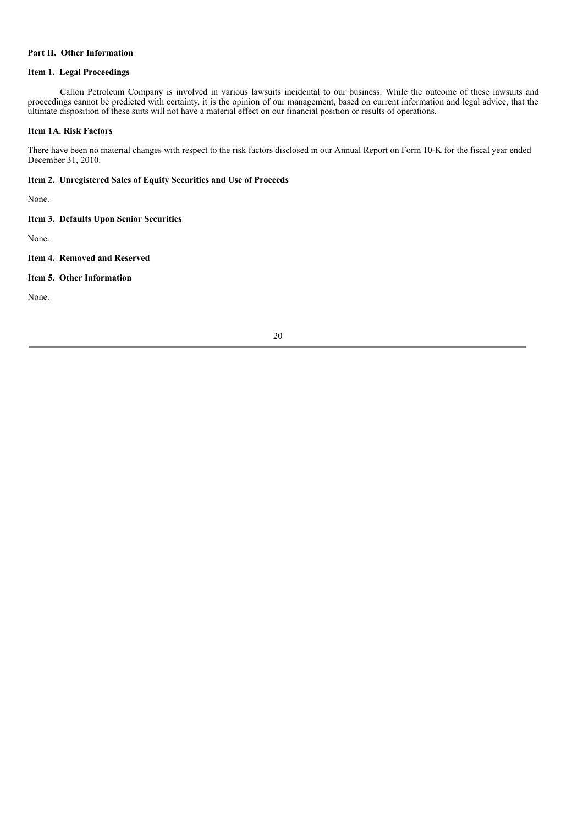## **Part II. Other Information**

# **Item 1. Legal Proceedings**

Callon Petroleum Company is involved in various lawsuits incidental to our business. While the outcome of these lawsuits and proceedings cannot be predicted with certainty, it is the opinion of our management, based on current information and legal advice, that the ultimate disposition of these suits will not have a material effect on our financial position or results of operations.

## **Item 1A. Risk Factors**

There have been no material changes with respect to the risk factors disclosed in our Annual Report on Form 10-K for the fiscal year ended December 31, 2010.

**Item 2. Unregistered Sales of Equity Securities and Use of Proceeds**

None.

# **Item 3. Defaults Upon Senior Securities**

None.

**Item 4. Removed and Reserved**

### **Item 5. Other Information**

None.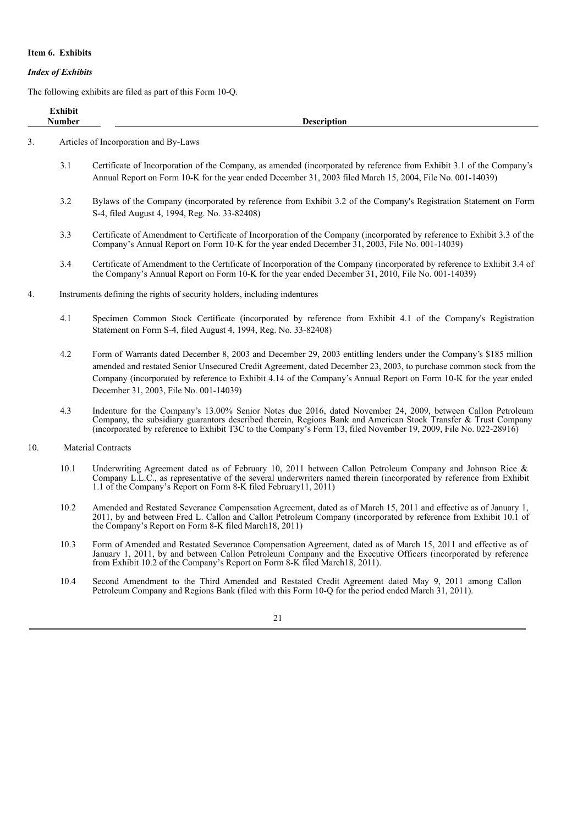## **Item 6. Exhibits**

#### *Index of Exhibits*

The following exhibits are filed as part of this Form 10-Q.

|    | Exhibit<br><b>Number</b> | <b>Description</b>                                                                                                                                                                                                                |
|----|--------------------------|-----------------------------------------------------------------------------------------------------------------------------------------------------------------------------------------------------------------------------------|
| 3. |                          | Articles of Incorporation and By-Laws                                                                                                                                                                                             |
|    | 3.1                      | Certificate of Incorporation of the Company, as amended (incorporated by reference from Exhibit 3.1 of the Company's<br>Annual Report on Form 10-K for the year ended December 31, 2003 filed March 15, 2004, File No. 001-14039) |
|    | 3.2                      | Bylaws of the Company (incorporated by reference from Exhibit 3.2 of the Company's Registration Statement on Form<br>S-4, filed August 4, 1994, Reg. No. 33-82408)                                                                |
|    | 3.3                      | Certificate of Amendment to Certificate of Incorporation of the Company (incorporated by reference to Exhibit 3.3 of the<br>Company's Annual Report on Form 10-K for the year ended December 31, 2003, File No. 001-14039)        |

- 3.4 Certificate of Amendment to the Certificate of Incorporation of the Company (incorporated by reference to Exhibit 3.4 of the Company's Annual Report on Form 10-K for the year ended December 31, 2010, File No. 001-14039)
- 4. Instruments defining the rights of security holders, including indentures
	- 4.1 Specimen Common Stock Certificate (incorporated by reference from Exhibit 4.1 of the Company's Registration Statement on Form S-4, filed August 4, 1994, Reg. No. 33-82408)
	- 4.2 Form of Warrants dated December 8, 2003 and December 29, 2003 entitling lenders under the Company's \$185 million amended and restated Senior Unsecured Credit Agreement, dated December 23, 2003, to purchase common stock from the Company (incorporated by reference to Exhibit 4.14 of the Company's Annual Report on Form 10-K for the year ended December 31, 2003, File No. 001-14039)
	- 4.3 Indenture for the Company's 13.00% Senior Notes due 2016, dated November 24, 2009, between Callon Petroleum Company, the subsidiary guarantors described therein, Regions Bank and American Stock Transfer & Trust Company (incorporated by reference to Exhibit T3C to the Company's Form T3, filed November 19, 2009, File No. 022-28916)
- 10. Material Contracts
	- 10.1 Underwriting Agreement dated as of February 10, 2011 between Callon Petroleum Company and Johnson Rice & Company L.L.C., as representative of the several underwriters named therein (incorporated by reference from Exhibit 1.1 of the Company's Report on Form 8-K filed February11, 2011)
	- 10.2 Amended and Restated Severance Compensation Agreement, dated as of March 15, 2011 and effective as of January 1, 2011, by and between Fred L. Callon and Callon Petroleum Company (incorporated by reference from Exhibit 10.1 of the Company's Report on Form 8-K filed March18, 2011)
	- 10.3 Form of Amended and Restated Severance Compensation Agreement, dated as of March 15, 2011 and effective as of January 1, 2011, by and between Callon Petroleum Company and the Executive Officers (incorporated by reference from Exhibit 10.2 of the Company's Report on Form 8-K filed March18, 2011).
	- 10.4 Second Amendment to the Third Amended and Restated Credit Agreement dated May 9, 2011 among Callon Petroleum Company and Regions Bank (filed with this Form 10-Q for the period ended March 31, 2011).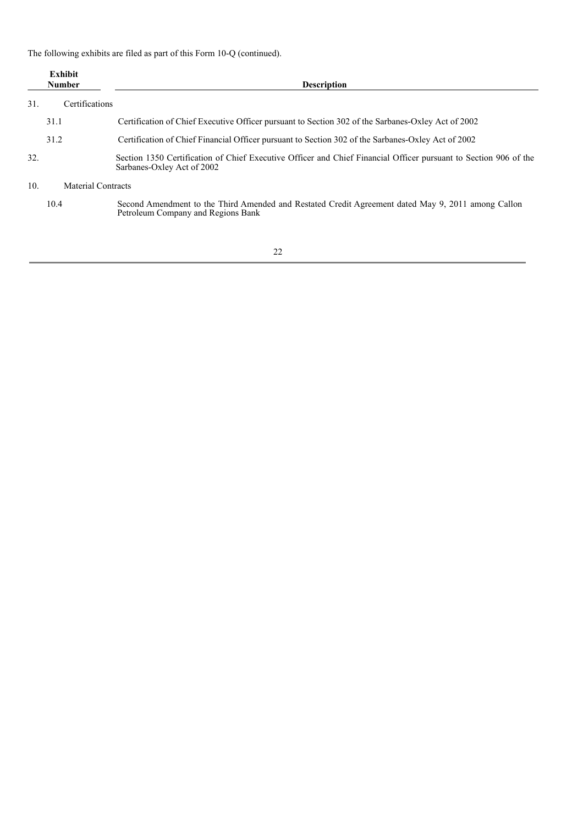The following exhibits are filed as part of this Form 10-Q (continued).

|     | Exhibit<br><b>Number</b> | <b>Description</b>                                                                                                                             |
|-----|--------------------------|------------------------------------------------------------------------------------------------------------------------------------------------|
| 31. | Certifications           |                                                                                                                                                |
|     | 31.1                     | Certification of Chief Executive Officer pursuant to Section 302 of the Sarbanes-Oxley Act of 2002                                             |
|     | 31.2                     | Certification of Chief Financial Officer pursuant to Section 302 of the Sarbanes-Oxley Act of 2002                                             |
| 32. |                          | Section 1350 Certification of Chief Executive Officer and Chief Financial Officer pursuant to Section 906 of the<br>Sarbanes-Oxley Act of 2002 |
| 10. | Material Contracts       |                                                                                                                                                |
|     | 10.4                     | Second Amendment to the Third Amended and Restated Credit Agreement dated May 9, 2011 among Callon<br>Petroleum Company and Regions Bank       |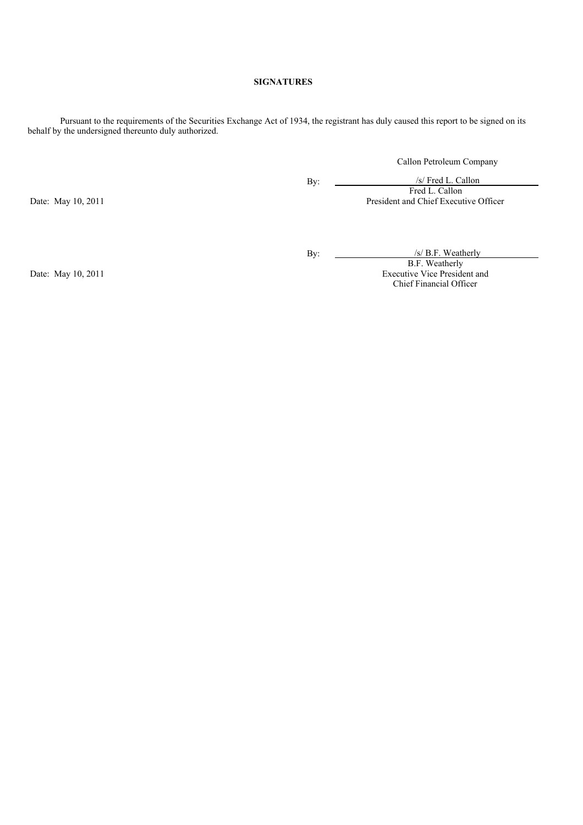# **SIGNATURES**

Pursuant to the requirements of the Securities Exchange Act of 1934, the registrant has duly caused this report to be signed on its behalf by the undersigned thereunto duly authorized.

Callon Petroleum Company

By: /s/ Fred L. Callon Fred L. Callon Date: May 10, 2011 President and Chief Executive Officer

By:  $\frac{1}{s}$  /s/ B.F. Weatherly

B.F. Weatherly Date: May 10, 2011 Executive Vice President and Chief Financial Officer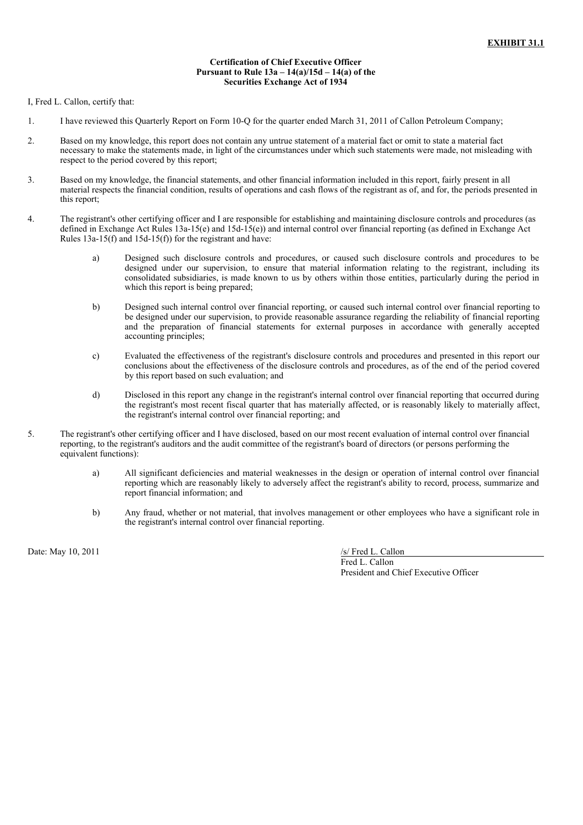### **Certification of Chief Executive Officer Pursuant to Rule 13a – 14(a)/15d – 14(a) of the Securities Exchange Act of 1934**

I, Fred L. Callon, certify that:

- 1. I have reviewed this Quarterly Report on Form 10-Q for the quarter ended March 31, 2011 of Callon Petroleum Company;
- 2. Based on my knowledge, this report does not contain any untrue statement of a material fact or omit to state a material fact necessary to make the statements made, in light of the circumstances under which such statements were made, not misleading with respect to the period covered by this report;
- 3. Based on my knowledge, the financial statements, and other financial information included in this report, fairly present in all material respects the financial condition, results of operations and cash flows of the registrant as of, and for, the periods presented in this report;
- 4. The registrant's other certifying officer and I are responsible for establishing and maintaining disclosure controls and procedures (as defined in Exchange Act Rules 13a-15(e) and 15d-15(e)) and internal control over financial reporting (as defined in Exchange Act Rules 13a-15(f) and 15d-15(f)) for the registrant and have:
	- a) Designed such disclosure controls and procedures, or caused such disclosure controls and procedures to be designed under our supervision, to ensure that material information relating to the registrant, including its consolidated subsidiaries, is made known to us by others within those entities, particularly during the period in which this report is being prepared;
	- b) Designed such internal control over financial reporting, or caused such internal control over financial reporting to be designed under our supervision, to provide reasonable assurance regarding the reliability of financial reporting and the preparation of financial statements for external purposes in accordance with generally accepted accounting principles;
	- c) Evaluated the effectiveness of the registrant's disclosure controls and procedures and presented in this report our conclusions about the effectiveness of the disclosure controls and procedures, as of the end of the period covered by this report based on such evaluation; and
	- d) Disclosed in this report any change in the registrant's internal control over financial reporting that occurred during the registrant's most recent fiscal quarter that has materially affected, or is reasonably likely to materially affect, the registrant's internal control over financial reporting; and
- 5. The registrant's other certifying officer and I have disclosed, based on our most recent evaluation of internal control over financial reporting, to the registrant's auditors and the audit committee of the registrant's board of directors (or persons performing the equivalent functions):
	- a) All significant deficiencies and material weaknesses in the design or operation of internal control over financial reporting which are reasonably likely to adversely affect the registrant's ability to record, process, summarize and report financial information; and
	- b) Any fraud, whether or not material, that involves management or other employees who have a significant role in the registrant's internal control over financial reporting.

Date: May 10, 2011 /s/ Fred L. Callon

Fred L. Callon President and Chief Executive Officer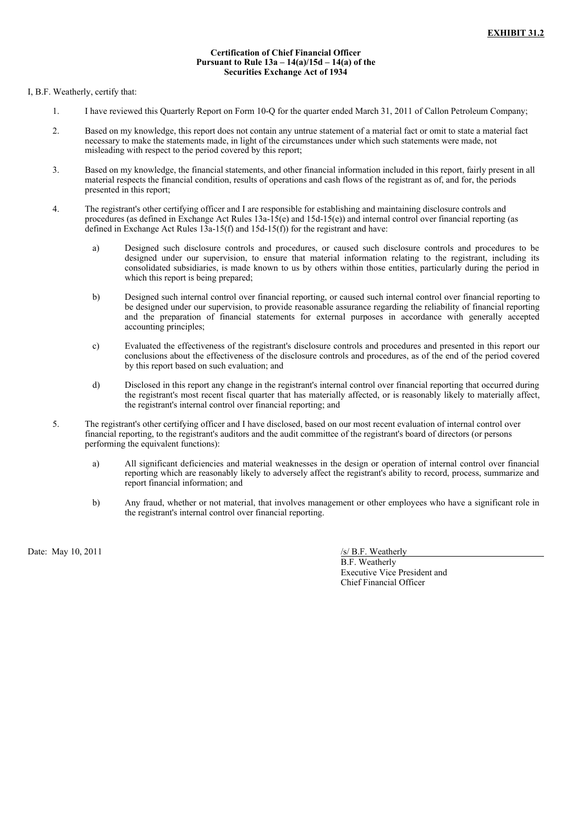#### **Certification of Chief Financial Officer Pursuant to Rule 13a – 14(a)/15d – 14(a) of the Securities Exchange Act of 1934**

I, B.F. Weatherly, certify that:

- 1. I have reviewed this Quarterly Report on Form 10-Q for the quarter ended March 31, 2011 of Callon Petroleum Company;
- 2. Based on my knowledge, this report does not contain any untrue statement of a material fact or omit to state a material fact necessary to make the statements made, in light of the circumstances under which such statements were made, not misleading with respect to the period covered by this report;
- 3. Based on my knowledge, the financial statements, and other financial information included in this report, fairly present in all material respects the financial condition, results of operations and cash flows of the registrant as of, and for, the periods presented in this report;
- 4. The registrant's other certifying officer and I are responsible for establishing and maintaining disclosure controls and procedures (as defined in Exchange Act Rules  $13a-15(e)$  and  $15d-15(e)$ ) and internal control over financial reporting (as defined in Exchange Act Rules  $13a-15(f)$  and  $15d-15(f)$  for the registrant and have:
	- a) Designed such disclosure controls and procedures, or caused such disclosure controls and procedures to be designed under our supervision, to ensure that material information relating to the registrant, including its consolidated subsidiaries, is made known to us by others within those entities, particularly during the period in which this report is being prepared;
	- b) Designed such internal control over financial reporting, or caused such internal control over financial reporting to be designed under our supervision, to provide reasonable assurance regarding the reliability of financial reporting and the preparation of financial statements for external purposes in accordance with generally accepted accounting principles;
	- c) Evaluated the effectiveness of the registrant's disclosure controls and procedures and presented in this report our conclusions about the effectiveness of the disclosure controls and procedures, as of the end of the period covered by this report based on such evaluation; and
	- d) Disclosed in this report any change in the registrant's internal control over financial reporting that occurred during the registrant's most recent fiscal quarter that has materially affected, or is reasonably likely to materially affect, the registrant's internal control over financial reporting; and
- 5. The registrant's other certifying officer and I have disclosed, based on our most recent evaluation of internal control over financial reporting, to the registrant's auditors and the audit committee of the registrant's board of directors (or persons performing the equivalent functions):
	- a) All significant deficiencies and material weaknesses in the design or operation of internal control over financial reporting which are reasonably likely to adversely affect the registrant's ability to record, process, summarize and report financial information; and
	- b) Any fraud, whether or not material, that involves management or other employees who have a significant role in the registrant's internal control over financial reporting.

Date: May 10, 2011 /s/ B.F. Weatherly

B.F. Weatherly Executive Vice President and Chief Financial Officer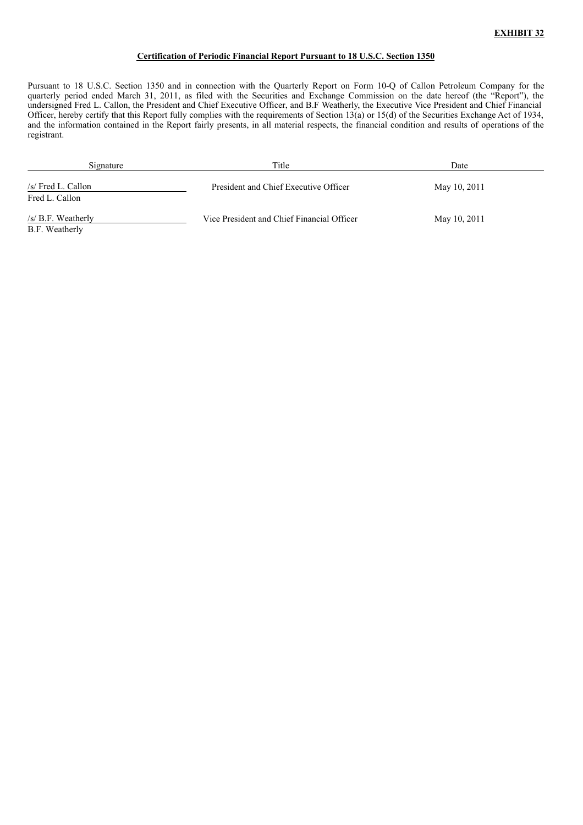## **Certification of Periodic Financial Report Pursuant to 18 U.S.C. Section 1350**

Pursuant to 18 U.S.C. Section 1350 and in connection with the Quarterly Report on Form 10-Q of Callon Petroleum Company for the quarterly period ended March 31, 2011, as filed with the Securities and Exchange Commission on the date hereof (the "Report"), the undersigned Fred L. Callon, the President and Chief Executive Officer, and B.F Weatherly, the Executive Vice President and Chief Financial Officer, hereby certify that this Report fully complies with the requirements of Section 13(a) or 15(d) of the Securities Exchange Act of 1934, and the information contained in the Report fairly presents, in all material respects, the financial condition and results of operations of the registrant.

| Signature                            | Title                                      | Date         |  |
|--------------------------------------|--------------------------------------------|--------------|--|
| /s/ Fred L. Callon<br>Fred L. Callon | President and Chief Executive Officer      | May 10, 2011 |  |
| /s/ B.F. Weatherly<br>B.F. Weatherly | Vice President and Chief Financial Officer | May 10, 2011 |  |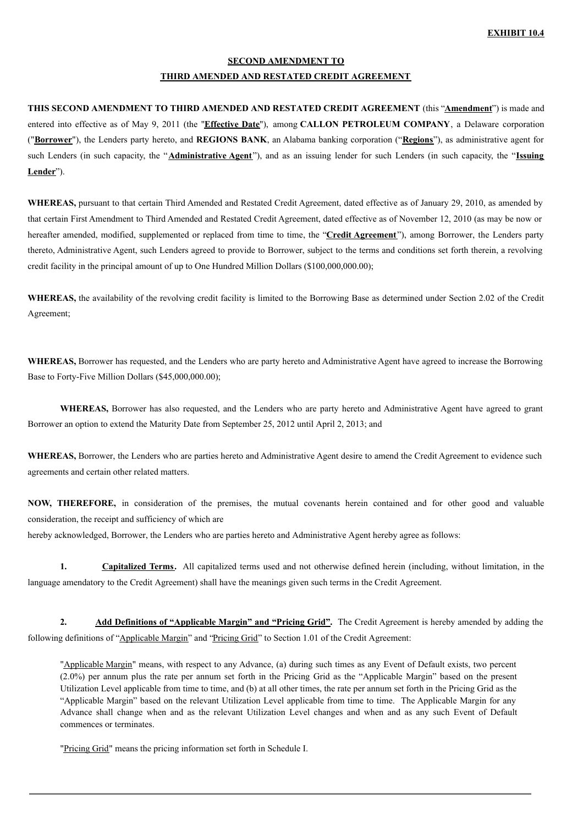# **SECOND AMENDMENT TO THIRD AMENDED AND RESTATED CREDIT AGREEMENT**

**THIS SECOND AMENDMENT TO THIRD AMENDED AND RESTATED CREDIT AGREEMENT** (this "**Amendment**") is made and entered into effective as of May 9, 2011 (the "**Effective Date**"), among **CALLON PETROLEUM COMPANY**, a Delaware corporation ("**Borrower**"), the Lenders party hereto, and **REGIONS BANK**, an Alabama banking corporation ("**Regions**"), as administrative agent for such Lenders (in such capacity, the "**Administrative Agent**"), and as an issuing lender for such Lenders (in such capacity, the "**Issuing Lender**").

**WHEREAS,** pursuant to that certain Third Amended and Restated Credit Agreement, dated effective as of January 29, 2010, as amended by that certain First Amendment to Third Amended and Restated Credit Agreement, dated effective as of November 12, 2010 (as may be now or hereafter amended, modified, supplemented or replaced from time to time, the "**Credit Agreement**"), among Borrower, the Lenders party thereto, Administrative Agent, such Lenders agreed to provide to Borrower, subject to the terms and conditions set forth therein, a revolving credit facility in the principal amount of up to One Hundred Million Dollars (\$100,000,000.00);

**WHEREAS,** the availability of the revolving credit facility is limited to the Borrowing Base as determined under Section 2.02 of the Credit Agreement;

**WHEREAS,** Borrower has requested, and the Lenders who are party hereto and Administrative Agent have agreed to increase the Borrowing Base to Forty-Five Million Dollars (\$45,000,000.00);

**WHEREAS,** Borrower has also requested, and the Lenders who are party hereto and Administrative Agent have agreed to grant Borrower an option to extend the Maturity Date from September 25, 2012 until April 2, 2013; and

**WHEREAS,** Borrower, the Lenders who are parties hereto and Administrative Agent desire to amend the Credit Agreement to evidence such agreements and certain other related matters.

**NOW, THEREFORE,** in consideration of the premises, the mutual covenants herein contained and for other good and valuable consideration, the receipt and sufficiency of which are

hereby acknowledged, Borrower, the Lenders who are parties hereto and Administrative Agent hereby agree as follows:

**1. Capitalized Terms.** All capitalized terms used and not otherwise defined herein (including, without limitation, in the language amendatory to the Credit Agreement) shall have the meanings given such terms in the Credit Agreement.

**2. Add Definitions of "Applicable Margin" and "Pricing Grid".** The Credit Agreement is hereby amended by adding the following definitions of "Applicable Margin" and "Pricing Grid" to Section 1.01 of the Credit Agreement:

"Applicable Margin" means, with respect to any Advance, (a) during such times as any Event of Default exists, two percent (2.0%) per annum plus the rate per annum set forth in the Pricing Grid as the "Applicable Margin" based on the present Utilization Level applicable from time to time, and (b) at all other times, the rate per annum set forth in the Pricing Grid as the "Applicable Margin" based on the relevant Utilization Level applicable from time to time. The Applicable Margin for any Advance shall change when and as the relevant Utilization Level changes and when and as any such Event of Default commences or terminates.

"Pricing Grid" means the pricing information set forth in Schedule I.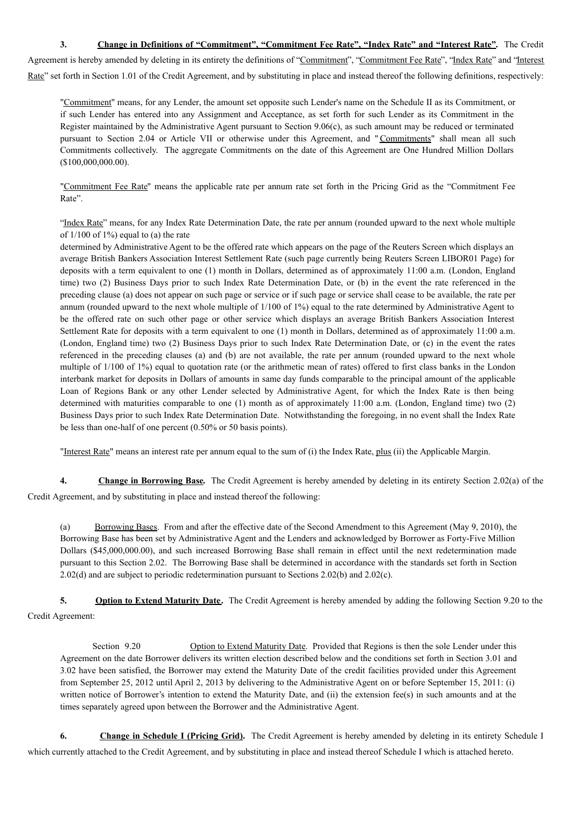# **3. Change in Definitions of "Commitment", "Commitment Fee Rate", "Index Rate" and "Interest Rate".** The Credit

Agreement is hereby amended by deleting in its entirety the definitions of "Commitment", "Commitment Fee Rate", "Index Rate" and "Interest Rate" set forth in Section 1.01 of the Credit Agreement, and by substituting in place and instead thereof the following definitions, respectively:

"Commitment" means, for any Lender, the amount set opposite such Lender's name on the Schedule II as its Commitment, or if such Lender has entered into any Assignment and Acceptance, as set forth for such Lender as its Commitment in the Register maintained by the Administrative Agent pursuant to Section 9.06(c), as such amount may be reduced or terminated pursuant to Section 2.04 or Article VII or otherwise under this Agreement, and "Commitments" shall mean all such Commitments collectively. The aggregate Commitments on the date of this Agreement are One Hundred Million Dollars (\$100,000,000.00).

"Commitment Fee Rate" means the applicable rate per annum rate set forth in the Pricing Grid as the "Commitment Fee Rate".

"Index Rate" means, for any Index Rate Determination Date, the rate per annum (rounded upward to the next whole multiple of  $1/100$  of  $1\%$ ) equal to (a) the rate

determined by Administrative Agent to be the offered rate which appears on the page of the Reuters Screen which displays an average British Bankers Association Interest Settlement Rate (such page currently being Reuters Screen LIBOR01 Page) for deposits with a term equivalent to one (1) month in Dollars, determined as of approximately 11:00 a.m. (London, England time) two (2) Business Days prior to such Index Rate Determination Date, or (b) in the event the rate referenced in the preceding clause (a) does not appear on such page or service or if such page or service shall cease to be available, the rate per annum (rounded upward to the next whole multiple of 1/100 of 1%) equal to the rate determined by Administrative Agent to be the offered rate on such other page or other service which displays an average British Bankers Association Interest Settlement Rate for deposits with a term equivalent to one (1) month in Dollars, determined as of approximately 11:00 a.m. (London, England time) two (2) Business Days prior to such Index Rate Determination Date, or (c) in the event the rates referenced in the preceding clauses (a) and (b) are not available, the rate per annum (rounded upward to the next whole multiple of 1/100 of 1%) equal to quotation rate (or the arithmetic mean of rates) offered to first class banks in the London interbank market for deposits in Dollars of amounts in same day funds comparable to the principal amount of the applicable Loan of Regions Bank or any other Lender selected by Administrative Agent, for which the Index Rate is then being determined with maturities comparable to one (1) month as of approximately 11:00 a.m. (London, England time) two (2) Business Days prior to such Index Rate Determination Date. Notwithstanding the foregoing, in no event shall the Index Rate be less than one-half of one percent (0.50% or 50 basis points).

"Interest Rate" means an interest rate per annum equal to the sum of (i) the Index Rate, plus (ii) the Applicable Margin.

**4. Change in Borrowing Base.** The Credit Agreement is hereby amended by deleting in its entirety Section 2.02(a) of the Credit Agreement, and by substituting in place and instead thereof the following:

(a) Borrowing Bases. From and after the effective date of the Second Amendment to this Agreement (May 9, 2010), the Borrowing Base has been set by Administrative Agent and the Lenders and acknowledged by Borrower as Forty-Five Million Dollars (\$45,000,000.00), and such increased Borrowing Base shall remain in effect until the next redetermination made pursuant to this Section 2.02. The Borrowing Base shall be determined in accordance with the standards set forth in Section 2.02(d) and are subject to periodic redetermination pursuant to Sections 2.02(b) and 2.02(c).

**5. Option to Extend Maturity Date.** The Credit Agreement is hereby amended by adding the following Section 9.20 to the Credit Agreement:

Section 9.20 Option to Extend Maturity Date. Provided that Regions is then the sole Lender under this Agreement on the date Borrower delivers its written election described below and the conditions set forth in Section 3.01 and 3.02 have been satisfied, the Borrower may extend the Maturity Date of the credit facilities provided under this Agreement from September 25, 2012 until April 2, 2013 by delivering to the Administrative Agent on or before September 15, 2011: (i) written notice of Borrower's intention to extend the Maturity Date, and (ii) the extension fee(s) in such amounts and at the times separately agreed upon between the Borrower and the Administrative Agent.

**6. Change in Schedule I (Pricing Grid).** The Credit Agreement is hereby amended by deleting in its entirety Schedule I which currently attached to the Credit Agreement, and by substituting in place and instead thereof Schedule I which is attached hereto.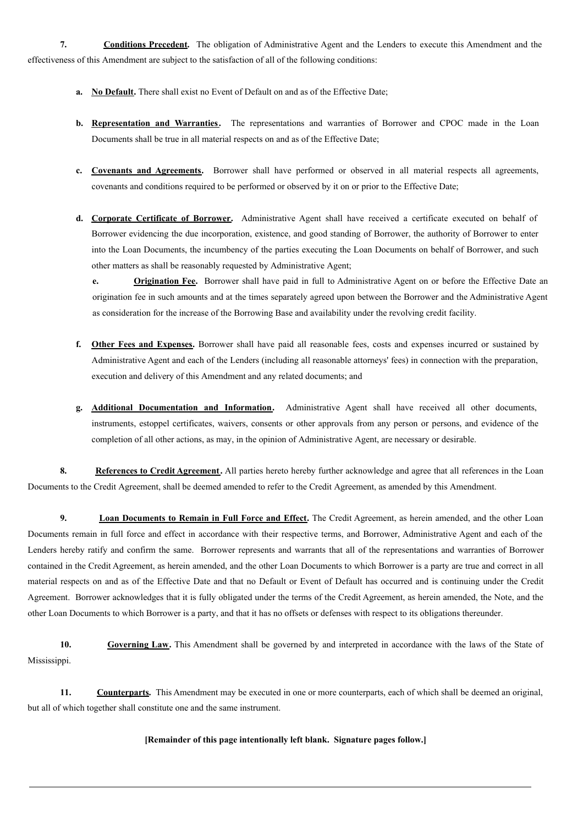**7. Conditions Precedent.** The obligation of Administrative Agent and the Lenders to execute this Amendment and the effectiveness of this Amendment are subject to the satisfaction of all of the following conditions:

- **a. No Default.** There shall exist no Event of Default on and as of the Effective Date;
- **b. Representation and Warranties.** The representations and warranties of Borrower and CPOC made in the Loan Documents shall be true in all material respects on and as of the Effective Date;
- **c. Covenants and Agreements.** Borrower shall have performed or observed in all material respects all agreements, covenants and conditions required to be performed or observed by it on or prior to the Effective Date;
- **d. Corporate Certificate of Borrower.** Administrative Agent shall have received a certificate executed on behalf of Borrower evidencing the due incorporation, existence, and good standing of Borrower, the authority of Borrower to enter into the Loan Documents, the incumbency of the parties executing the Loan Documents on behalf of Borrower, and such other matters as shall be reasonably requested by Administrative Agent;

**e. Origination Fee.** Borrower shall have paid in full to Administrative Agent on or before the Effective Date an origination fee in such amounts and at the times separately agreed upon between the Borrower and the Administrative Agent as consideration for the increase of the Borrowing Base and availability under the revolving credit facility.

- **f. Other Fees and Expenses.** Borrower shall have paid all reasonable fees, costs and expenses incurred or sustained by Administrative Agent and each of the Lenders (including all reasonable attorneys' fees) in connection with the preparation, execution and delivery of this Amendment and any related documents; and
- **g. Additional Documentation and Information.** Administrative Agent shall have received all other documents, instruments, estoppel certificates, waivers, consents or other approvals from any person or persons, and evidence of the completion of all other actions, as may, in the opinion of Administrative Agent, are necessary or desirable.

**8. References to Credit Agreement.** All parties hereto hereby further acknowledge and agree that all references in the Loan Documents to the Credit Agreement, shall be deemed amended to refer to the Credit Agreement, as amended by this Amendment.

**9. Loan Documents to Remain in Full Force and Effect.** The Credit Agreement, as herein amended, and the other Loan Documents remain in full force and effect in accordance with their respective terms, and Borrower, Administrative Agent and each of the Lenders hereby ratify and confirm the same. Borrower represents and warrants that all of the representations and warranties of Borrower contained in the Credit Agreement, as herein amended, and the other Loan Documents to which Borrower is a party are true and correct in all material respects on and as of the Effective Date and that no Default or Event of Default has occurred and is continuing under the Credit Agreement. Borrower acknowledges that it is fully obligated under the terms of the Credit Agreement, as herein amended, the Note, and the other Loan Documents to which Borrower is a party, and that it has no offsets or defenses with respect to its obligations thereunder.

**10. Governing Law.** This Amendment shall be governed by and interpreted in accordance with the laws of the State of Mississippi.

**11. Counterparts.** This Amendment may be executed in one or more counterparts, each of which shall be deemed an original, but all of which together shall constitute one and the same instrument.

**[Remainder of this page intentionally left blank. Signature pages follow.]**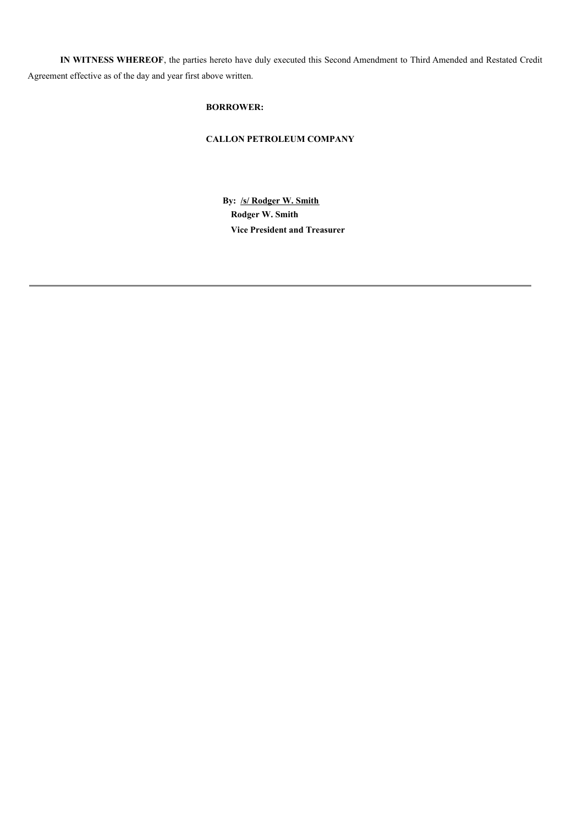**IN WITNESS WHEREOF**, the parties hereto have duly executed this Second Amendment to Third Amended and Restated Credit Agreement effective as of the day and year first above written.

# **BORROWER:**

# **CALLON PETROLEUM COMPANY**

**By: /s/ Rodger W. Smith Rodger W. Smith Vice President and Treasurer**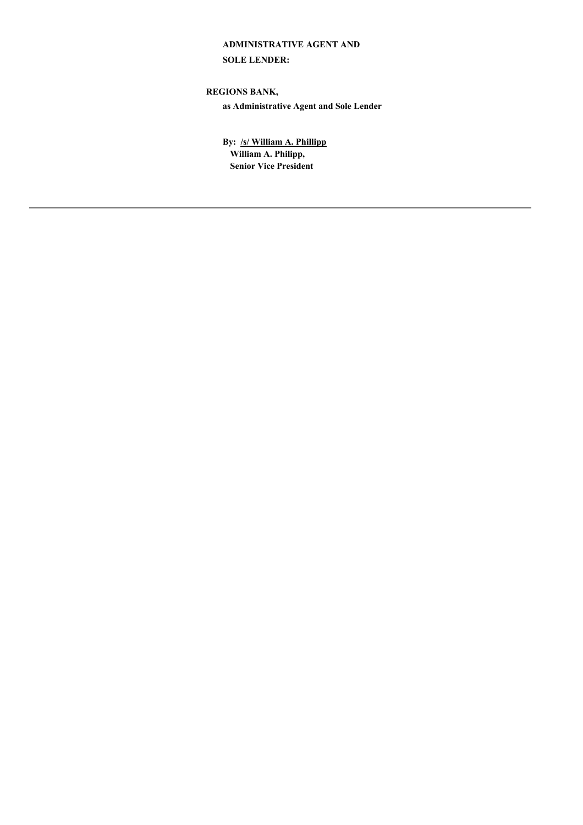# **ADMINISTRATIVE AGENT AND**

# **SOLE LENDER:**

# **REGIONS BANK,**

**as Administrative Agent and Sole Lender**

**By: /s/ William A. Phillipp William A. Philipp, Senior Vice President**